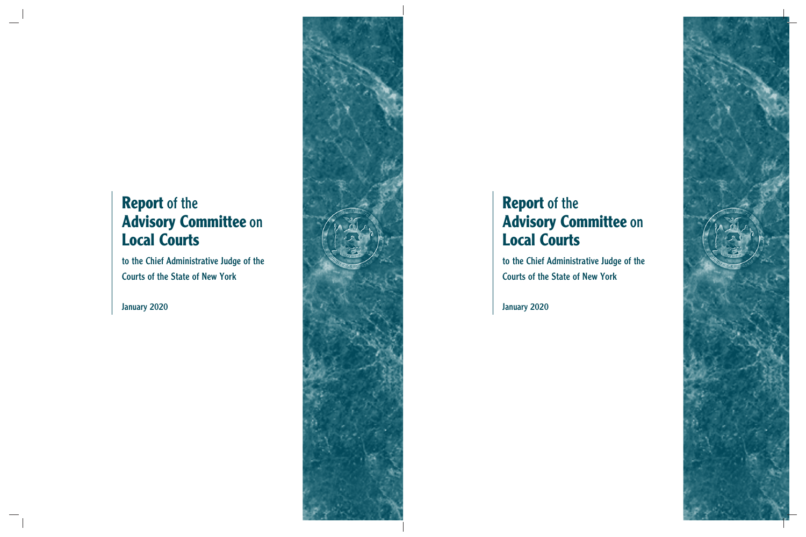# **Report** of the **Advisory Committee** on **Local Courts**

to the Chief Administrative Judge of the Courts of the State of New York

January 2020

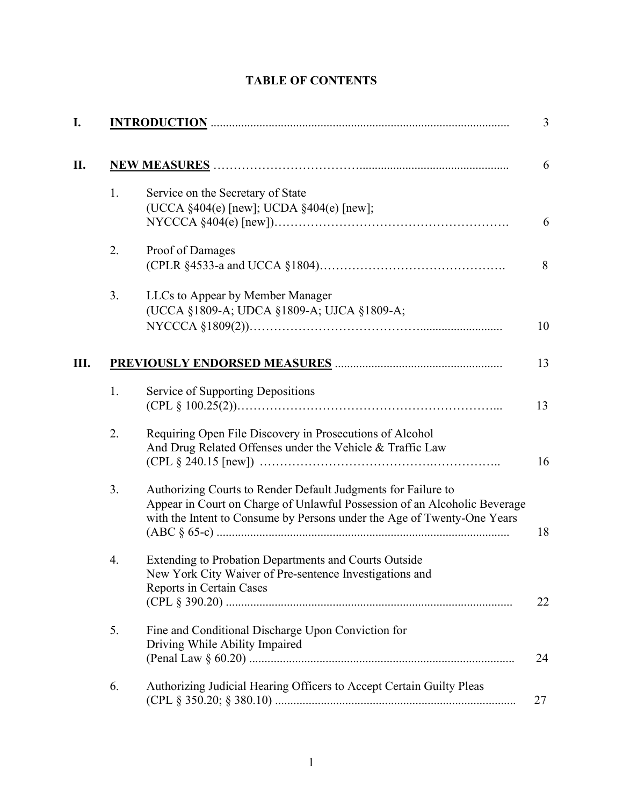|    |                                                                                                                                            | 3  |
|----|--------------------------------------------------------------------------------------------------------------------------------------------|----|
|    |                                                                                                                                            | 6  |
| 1. | Service on the Secretary of State                                                                                                          |    |
|    | (UCCA §404(e) [new]; UCDA §404(e) [new];                                                                                                   | 6  |
| 2. | Proof of Damages                                                                                                                           |    |
|    |                                                                                                                                            | 8  |
| 3. | LLCs to Appear by Member Manager                                                                                                           |    |
|    | (UCCA §1809-A; UDCA §1809-A; UJCA §1809-A;                                                                                                 |    |
|    |                                                                                                                                            | 10 |
|    |                                                                                                                                            | 13 |
| 1. | Service of Supporting Depositions                                                                                                          |    |
|    |                                                                                                                                            | 13 |
| 2. | Requiring Open File Discovery in Prosecutions of Alcohol                                                                                   |    |
|    | And Drug Related Offenses under the Vehicle & Traffic Law                                                                                  | 16 |
|    |                                                                                                                                            |    |
| 3. | Authorizing Courts to Render Default Judgments for Failure to<br>Appear in Court on Charge of Unlawful Possession of an Alcoholic Beverage |    |
|    | with the Intent to Consume by Persons under the Age of Twenty-One Years                                                                    |    |
|    |                                                                                                                                            | 18 |
| 4. | Extending to Probation Departments and Courts Outside                                                                                      |    |
|    | New York City Waiver of Pre-sentence Investigations and                                                                                    |    |
|    | Reports in Certain Cases                                                                                                                   | 22 |
| 5. | Fine and Conditional Discharge Upon Conviction for                                                                                         |    |
|    | Driving While Ability Impaired                                                                                                             |    |
|    |                                                                                                                                            | 24 |
| 6. | Authorizing Judicial Hearing Officers to Accept Certain Guilty Pleas                                                                       |    |
|    |                                                                                                                                            | 27 |

# **TABLE OF CONTENTS**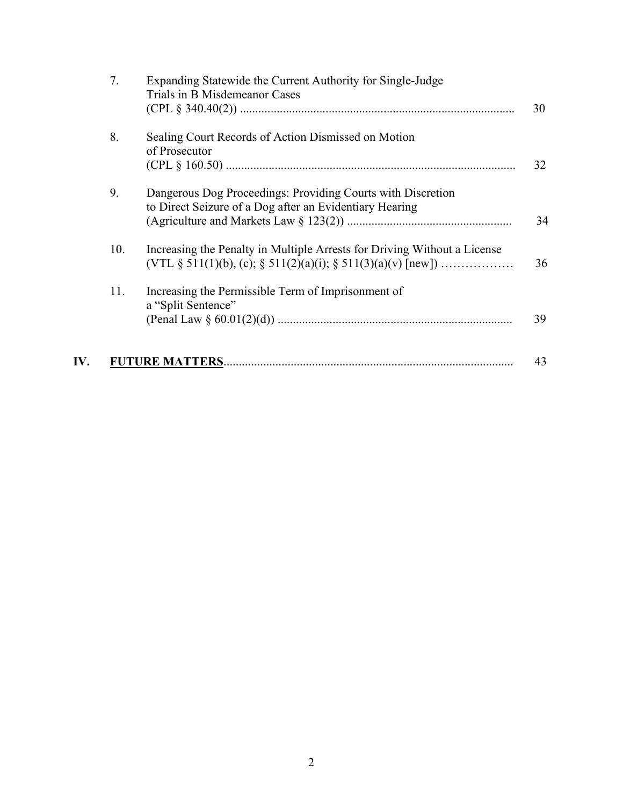|     | 7.  | Expanding Statewide the Current Authority for Single-Judge<br>Trials in B Misdemeanor Cases                                              |    |
|-----|-----|------------------------------------------------------------------------------------------------------------------------------------------|----|
|     |     |                                                                                                                                          | 30 |
|     | 8.  | Sealing Court Records of Action Dismissed on Motion<br>of Prosecutor                                                                     |    |
|     |     |                                                                                                                                          | 32 |
|     | 9.  | Dangerous Dog Proceedings: Providing Courts with Discretion<br>to Direct Seizure of a Dog after an Evidentiary Hearing                   | 34 |
|     | 10. | Increasing the Penalty in Multiple Arrests for Driving Without a License<br>(VTL § 511(1)(b), (c); § 511(2)(a)(i); § 511(3)(a)(v) [new]) | 36 |
|     | 11. | Increasing the Permissible Term of Imprisonment of<br>a "Split Sentence"                                                                 |    |
|     |     |                                                                                                                                          | 39 |
| IV. |     | <b>FUTURE MATTERS</b>                                                                                                                    | 43 |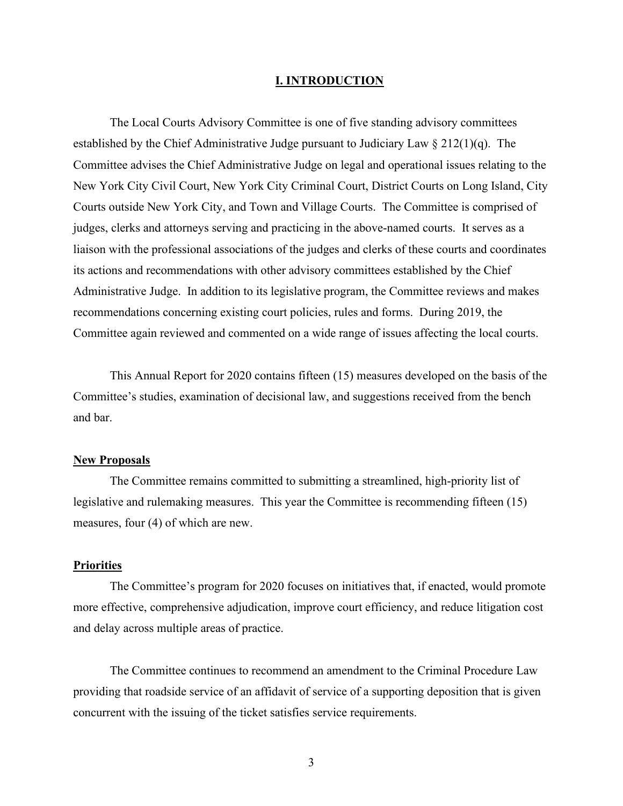#### **I. INTRODUCTION**

The Local Courts Advisory Committee is one of five standing advisory committees established by the Chief Administrative Judge pursuant to Judiciary Law  $\S 212(1)(q)$ . The Committee advises the Chief Administrative Judge on legal and operational issues relating to the New York City Civil Court, New York City Criminal Court, District Courts on Long Island, City Courts outside New York City, and Town and Village Courts. The Committee is comprised of judges, clerks and attorneys serving and practicing in the above-named courts. It serves as a liaison with the professional associations of the judges and clerks of these courts and coordinates its actions and recommendations with other advisory committees established by the Chief Administrative Judge. In addition to its legislative program, the Committee reviews and makes recommendations concerning existing court policies, rules and forms. During 2019, the Committee again reviewed and commented on a wide range of issues affecting the local courts.

This Annual Report for 2020 contains fifteen (15) measures developed on the basis of the Committee's studies, examination of decisional law, and suggestions received from the bench and bar.

## **New Proposals**

The Committee remains committed to submitting a streamlined, high-priority list of legislative and rulemaking measures. This year the Committee is recommending fifteen (15) measures, four (4) of which are new.

# **Priorities**

The Committee's program for 2020 focuses on initiatives that, if enacted, would promote more effective, comprehensive adjudication, improve court efficiency, and reduce litigation cost and delay across multiple areas of practice.

The Committee continues to recommend an amendment to the Criminal Procedure Law providing that roadside service of an affidavit of service of a supporting deposition that is given concurrent with the issuing of the ticket satisfies service requirements.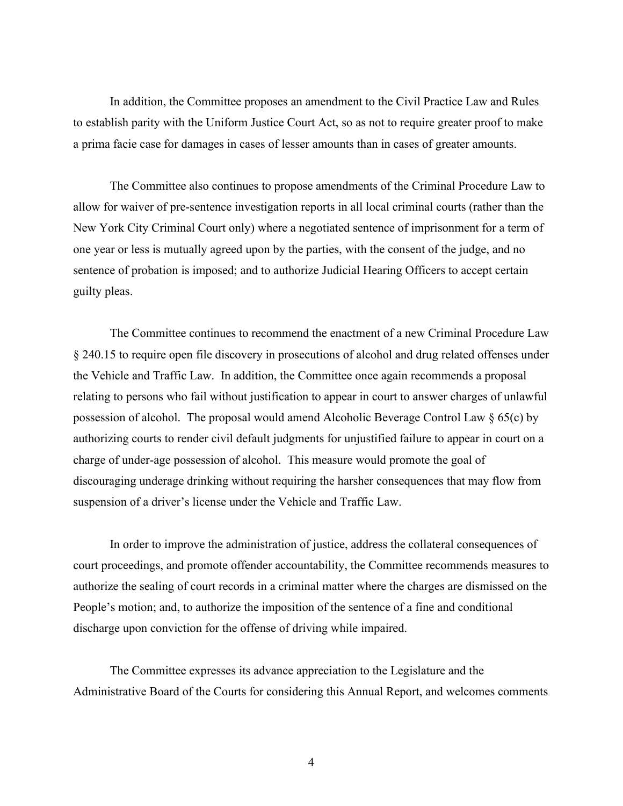In addition, the Committee proposes an amendment to the Civil Practice Law and Rules to establish parity with the Uniform Justice Court Act, so as not to require greater proof to make a prima facie case for damages in cases of lesser amounts than in cases of greater amounts.

The Committee also continues to propose amendments of the Criminal Procedure Law to allow for waiver of pre-sentence investigation reports in all local criminal courts (rather than the New York City Criminal Court only) where a negotiated sentence of imprisonment for a term of one year or less is mutually agreed upon by the parties, with the consent of the judge, and no sentence of probation is imposed; and to authorize Judicial Hearing Officers to accept certain guilty pleas.

The Committee continues to recommend the enactment of a new Criminal Procedure Law § 240.15 to require open file discovery in prosecutions of alcohol and drug related offenses under the Vehicle and Traffic Law. In addition, the Committee once again recommends a proposal relating to persons who fail without justification to appear in court to answer charges of unlawful possession of alcohol. The proposal would amend Alcoholic Beverage Control Law § 65(c) by authorizing courts to render civil default judgments for unjustified failure to appear in court on a charge of under-age possession of alcohol. This measure would promote the goal of discouraging underage drinking without requiring the harsher consequences that may flow from suspension of a driver's license under the Vehicle and Traffic Law.

In order to improve the administration of justice, address the collateral consequences of court proceedings, and promote offender accountability, the Committee recommends measures to authorize the sealing of court records in a criminal matter where the charges are dismissed on the People's motion; and, to authorize the imposition of the sentence of a fine and conditional discharge upon conviction for the offense of driving while impaired.

The Committee expresses its advance appreciation to the Legislature and the Administrative Board of the Courts for considering this Annual Report, and welcomes comments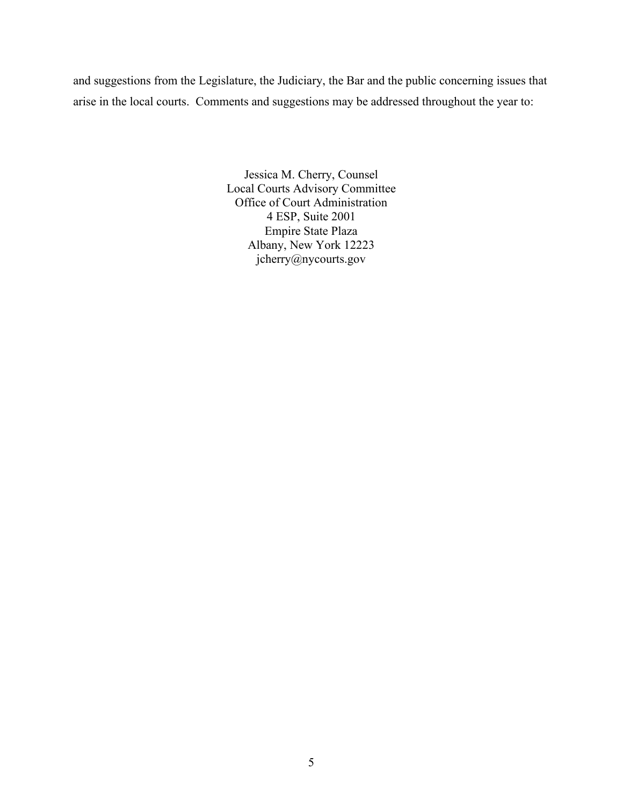and suggestions from the Legislature, the Judiciary, the Bar and the public concerning issues that arise in the local courts. Comments and suggestions may be addressed throughout the year to:

> Jessica M. Cherry, Counsel Local Courts Advisory Committee Office of Court Administration 4 ESP, Suite 2001 Empire State Plaza Albany, New York 12223 jcherry@nycourts.gov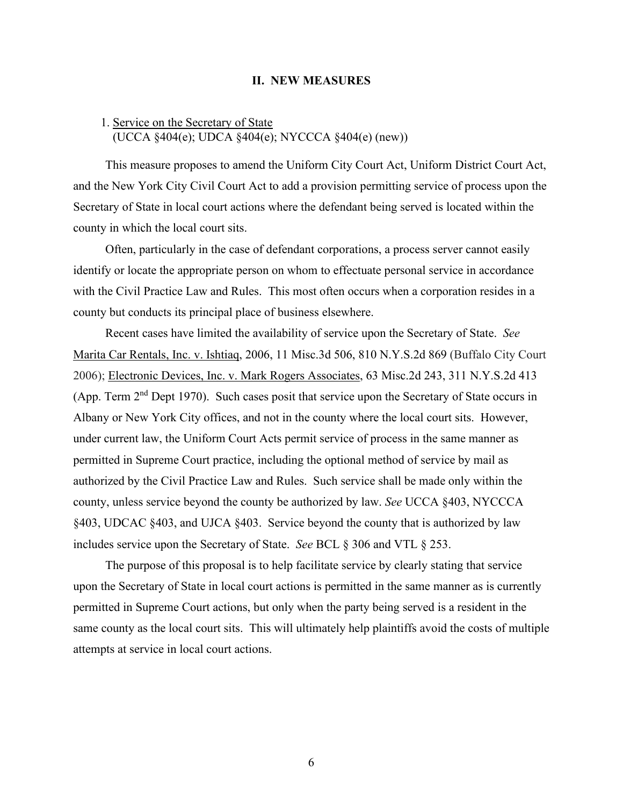## **II. NEW MEASURES**

## 1. Service on the Secretary of State (UCCA §404(e); UDCA §404(e); NYCCCA §404(e) (new))

This measure proposes to amend the Uniform City Court Act, Uniform District Court Act, and the New York City Civil Court Act to add a provision permitting service of process upon the Secretary of State in local court actions where the defendant being served is located within the county in which the local court sits.

Often, particularly in the case of defendant corporations, a process server cannot easily identify or locate the appropriate person on whom to effectuate personal service in accordance with the Civil Practice Law and Rules. This most often occurs when a corporation resides in a county but conducts its principal place of business elsewhere.

Recent cases have limited the availability of service upon the Secretary of State. *See* Marita Car Rentals, Inc. v. Ishtiaq, 2006, 11 Misc.3d 506, 810 N.Y.S.2d 869 (Buffalo City Court 2006); Electronic Devices, Inc. v. Mark Rogers Associates, 63 Misc.2d 243, 311 N.Y.S.2d 413 (App. Term  $2<sup>nd</sup>$  Dept 1970). Such cases posit that service upon the Secretary of State occurs in Albany or New York City offices, and not in the county where the local court sits. However, under current law, the Uniform Court Acts permit service of process in the same manner as permitted in Supreme Court practice, including the optional method of service by mail as authorized by the Civil Practice Law and Rules. Such service shall be made only within the county, unless service beyond the county be authorized by law. *See* UCCA §403, NYCCCA §403, UDCAC §403, and UJCA §403. Service beyond the county that is authorized by law includes service upon the Secretary of State. *See* BCL § 306 and VTL § 253.

The purpose of this proposal is to help facilitate service by clearly stating that service upon the Secretary of State in local court actions is permitted in the same manner as is currently permitted in Supreme Court actions, but only when the party being served is a resident in the same county as the local court sits. This will ultimately help plaintiffs avoid the costs of multiple attempts at service in local court actions.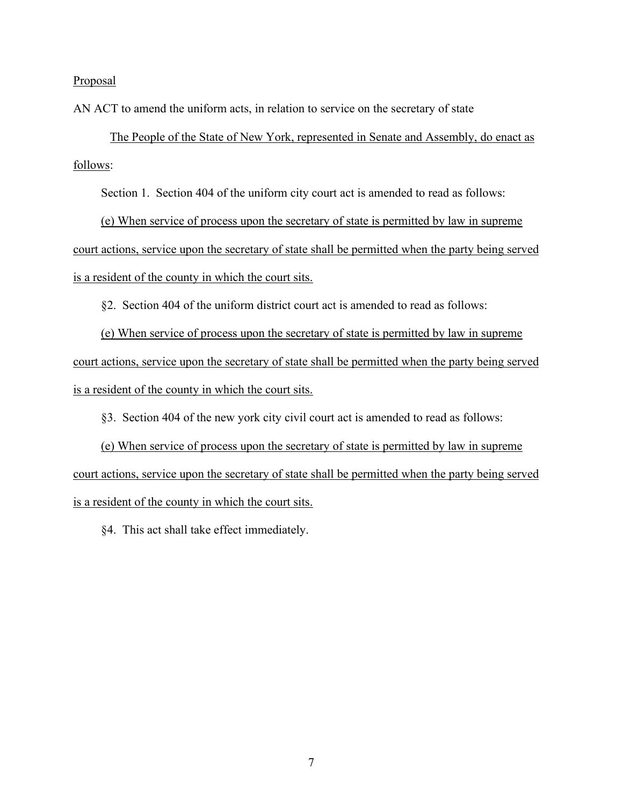AN ACT to amend the uniform acts, in relation to service on the secretary of state

The People of the State of New York, represented in Senate and Assembly, do enact as follows:

Section 1. Section 404 of the uniform city court act is amended to read as follows:

(e) When service of process upon the secretary of state is permitted by law in supreme court actions, service upon the secretary of state shall be permitted when the party being served is a resident of the county in which the court sits.

§2. Section 404 of the uniform district court act is amended to read as follows:

(e) When service of process upon the secretary of state is permitted by law in supreme court actions, service upon the secretary of state shall be permitted when the party being served is a resident of the county in which the court sits.

§3. Section 404 of the new york city civil court act is amended to read as follows:

(e) When service of process upon the secretary of state is permitted by law in supreme court actions, service upon the secretary of state shall be permitted when the party being served is a resident of the county in which the court sits.

§4. This act shall take effect immediately.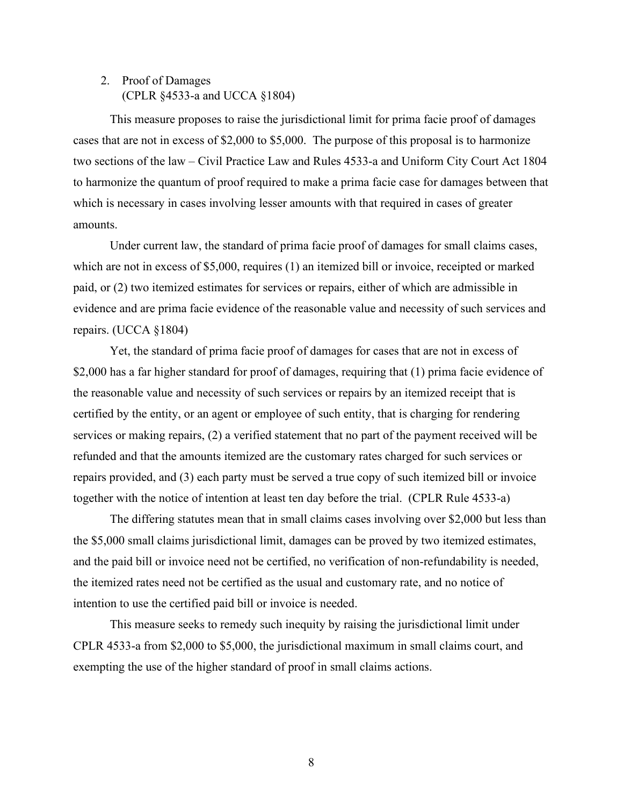# 2. Proof of Damages (CPLR §4533-a and UCCA §1804)

This measure proposes to raise the jurisdictional limit for prima facie proof of damages cases that are not in excess of \$2,000 to \$5,000. The purpose of this proposal is to harmonize two sections of the law – Civil Practice Law and Rules 4533-a and Uniform City Court Act 1804 to harmonize the quantum of proof required to make a prima facie case for damages between that which is necessary in cases involving lesser amounts with that required in cases of greater amounts.

Under current law, the standard of prima facie proof of damages for small claims cases, which are not in excess of \$5,000, requires (1) an itemized bill or invoice, receipted or marked paid, or (2) two itemized estimates for services or repairs, either of which are admissible in evidence and are prima facie evidence of the reasonable value and necessity of such services and repairs. (UCCA §1804)

Yet, the standard of prima facie proof of damages for cases that are not in excess of \$2,000 has a far higher standard for proof of damages, requiring that (1) prima facie evidence of the reasonable value and necessity of such services or repairs by an itemized receipt that is certified by the entity, or an agent or employee of such entity, that is charging for rendering services or making repairs, (2) a verified statement that no part of the payment received will be refunded and that the amounts itemized are the customary rates charged for such services or repairs provided, and (3) each party must be served a true copy of such itemized bill or invoice together with the notice of intention at least ten day before the trial. (CPLR Rule 4533-a)

The differing statutes mean that in small claims cases involving over \$2,000 but less than the \$5,000 small claims jurisdictional limit, damages can be proved by two itemized estimates, and the paid bill or invoice need not be certified, no verification of non-refundability is needed, the itemized rates need not be certified as the usual and customary rate, and no notice of intention to use the certified paid bill or invoice is needed.

This measure seeks to remedy such inequity by raising the jurisdictional limit under CPLR 4533-a from \$2,000 to \$5,000, the jurisdictional maximum in small claims court, and exempting the use of the higher standard of proof in small claims actions.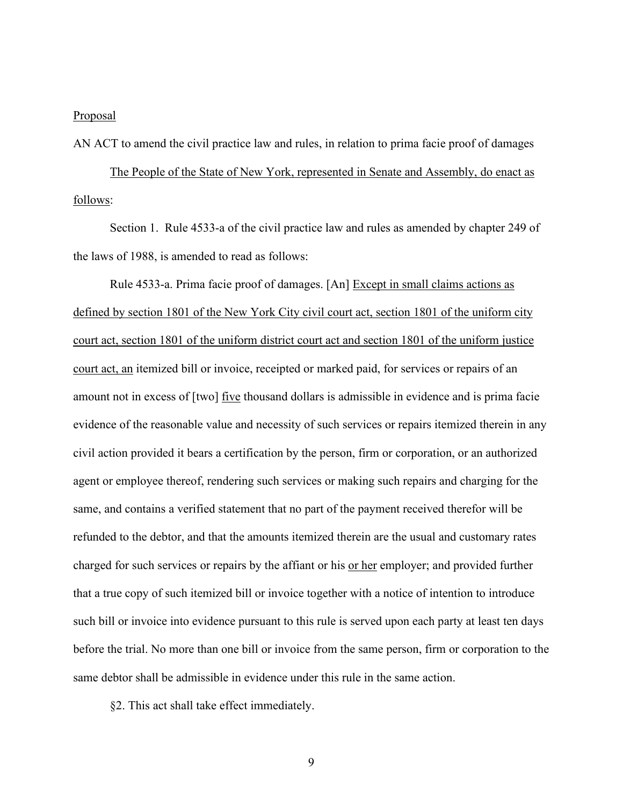AN ACT to amend the civil practice law and rules, in relation to prima facie proof of damages

The People of the State of New York, represented in Senate and Assembly, do enact as follows:

Section 1. Rule 4533-a of the civil practice law and rules as amended by chapter 249 of the laws of 1988, is amended to read as follows:

Rule 4533-a. Prima facie proof of damages. [An] Except in small claims actions as defined by section 1801 of the New York City civil court act, section 1801 of the uniform city court act, section 1801 of the uniform district court act and section 1801 of the uniform justice court act, an itemized bill or invoice, receipted or marked paid, for services or repairs of an amount not in excess of [two] <u>five</u> thousand dollars is admissible in evidence and is prima facie evidence of the reasonable value and necessity of such services or repairs itemized therein in any civil action provided it bears a certification by the person, firm or corporation, or an authorized agent or employee thereof, rendering such services or making such repairs and charging for the same, and contains a verified statement that no part of the payment received therefor will be refunded to the debtor, and that the amounts itemized therein are the usual and customary rates charged for such services or repairs by the affiant or his or her employer; and provided further that a true copy of such itemized bill or invoice together with a notice of intention to introduce such bill or invoice into evidence pursuant to this rule is served upon each party at least ten days before the trial. No more than one bill or invoice from the same person, firm or corporation to the same debtor shall be admissible in evidence under this rule in the same action.

§2. This act shall take effect immediately.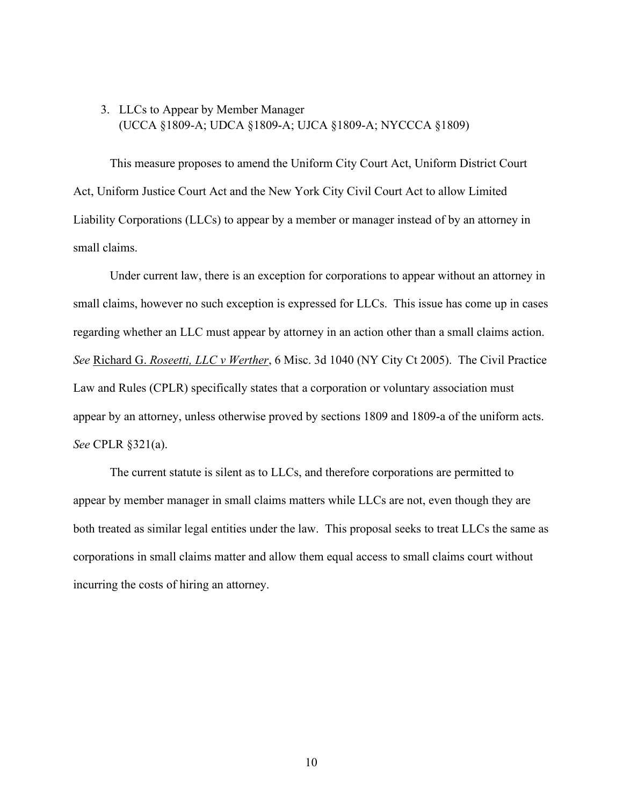# 3. LLCs to Appear by Member Manager (UCCA §1809-A; UDCA §1809-A; UJCA §1809-A; NYCCCA §1809)

This measure proposes to amend the Uniform City Court Act, Uniform District Court Act, Uniform Justice Court Act and the New York City Civil Court Act to allow Limited Liability Corporations (LLCs) to appear by a member or manager instead of by an attorney in small claims.

Under current law, there is an exception for corporations to appear without an attorney in small claims, however no such exception is expressed for LLCs. This issue has come up in cases regarding whether an LLC must appear by attorney in an action other than a small claims action. *See* Richard G. *Roseetti, LLC v Werther*, 6 Misc. 3d 1040 (NY City Ct 2005). The Civil Practice Law and Rules (CPLR) specifically states that a corporation or voluntary association must appear by an attorney, unless otherwise proved by sections 1809 and 1809-a of the uniform acts. *See* CPLR §321(a).

The current statute is silent as to LLCs, and therefore corporations are permitted to appear by member manager in small claims matters while LLCs are not, even though they are both treated as similar legal entities under the law. This proposal seeks to treat LLCs the same as corporations in small claims matter and allow them equal access to small claims court without incurring the costs of hiring an attorney.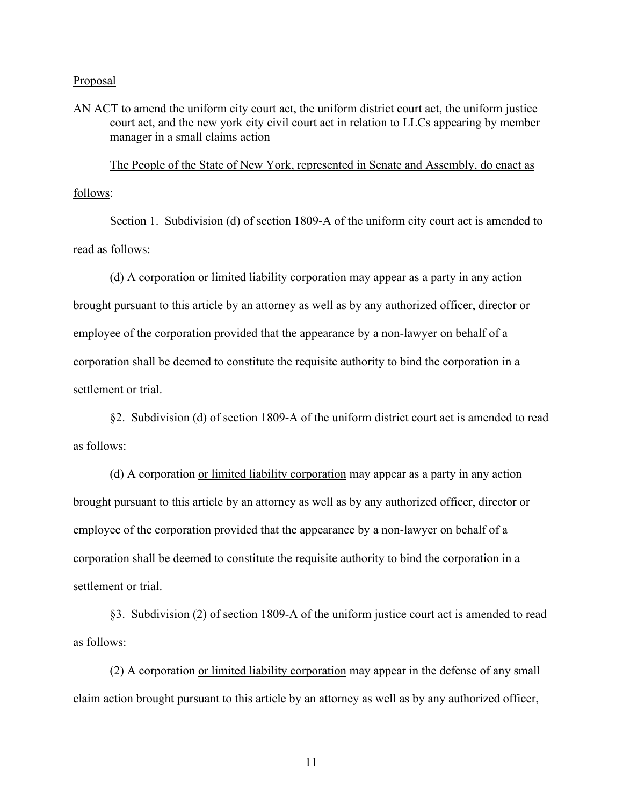AN ACT to amend the uniform city court act, the uniform district court act, the uniform justice court act, and the new york city civil court act in relation to LLCs appearing by member manager in a small claims action

The People of the State of New York, represented in Senate and Assembly, do enact as follows:

Section 1. Subdivision (d) of section 1809-A of the uniform city court act is amended to read as follows:

(d) A corporation or limited liability corporation may appear as a party in any action brought pursuant to this article by an attorney as well as by any authorized officer, director or employee of the corporation provided that the appearance by a non-lawyer on behalf of a corporation shall be deemed to constitute the requisite authority to bind the corporation in a settlement or trial.

§2. Subdivision (d) of section 1809-A of the uniform district court act is amended to read as follows:

(d) A corporation or limited liability corporation may appear as a party in any action brought pursuant to this article by an attorney as well as by any authorized officer, director or employee of the corporation provided that the appearance by a non-lawyer on behalf of a corporation shall be deemed to constitute the requisite authority to bind the corporation in a settlement or trial.

§3. Subdivision (2) of section 1809-A of the uniform justice court act is amended to read as follows:

(2) A corporation or limited liability corporation may appear in the defense of any small claim action brought pursuant to this article by an attorney as well as by any authorized officer,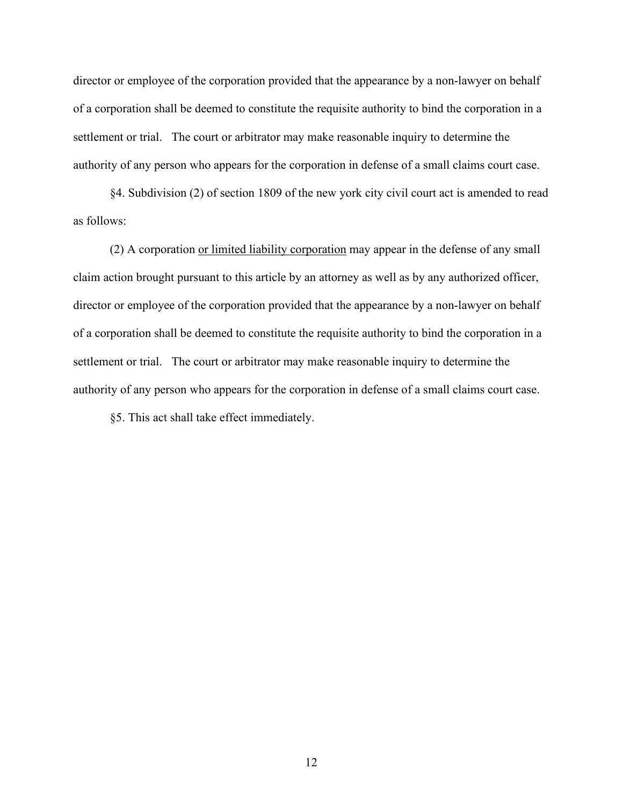director or employee of the corporation provided that the appearance by a non-lawyer on behalf of a corporation shall be deemed to constitute the requisite authority to bind the corporation in a settlement or trial. The court or arbitrator may make reasonable inquiry to determine the authority of any person who appears for the corporation in defense of a small claims court case.

§4. Subdivision (2) of section 1809 of the new york city civil court act is amended to read as follows:

(2) A corporation or limited liability corporation may appear in the defense of any small claim action brought pursuant to this article by an attorney as well as by any authorized officer, director or employee of the corporation provided that the appearance by a non-lawyer on behalf of a corporation shall be deemed to constitute the requisite authority to bind the corporation in a settlement or trial. The court or arbitrator may make reasonable inquiry to determine the authority of any person who appears for the corporation in defense of a small claims court case.

§5. This act shall take effect immediately.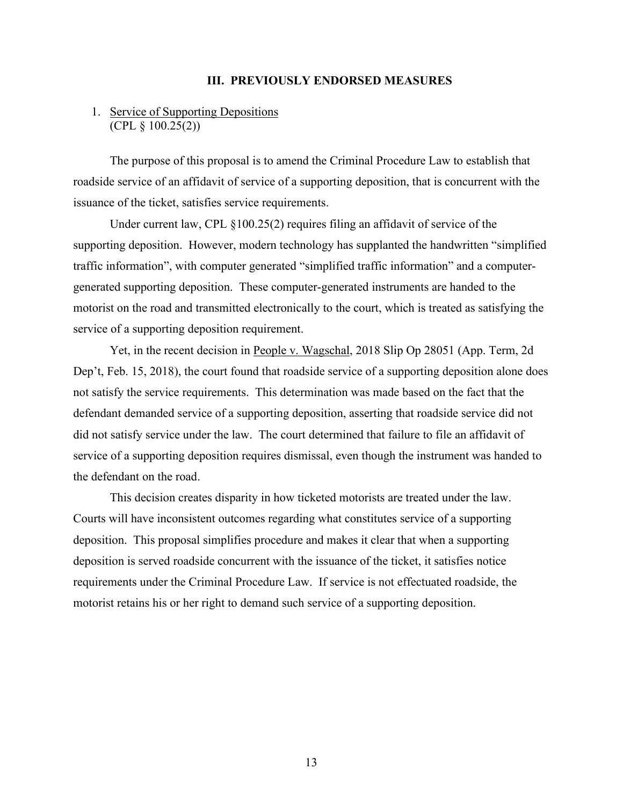## **III. PREVIOUSLY ENDORSED MEASURES**

# 1. Service of Supporting Depositions (CPL § 100.25(2))

The purpose of this proposal is to amend the Criminal Procedure Law to establish that roadside service of an affidavit of service of a supporting deposition, that is concurrent with the issuance of the ticket, satisfies service requirements.

Under current law, CPL §100.25(2) requires filing an affidavit of service of the supporting deposition. However, modern technology has supplanted the handwritten "simplified traffic information", with computer generated "simplified traffic information" and a computergenerated supporting deposition. These computer-generated instruments are handed to the motorist on the road and transmitted electronically to the court, which is treated as satisfying the service of a supporting deposition requirement.

Yet, in the recent decision in People v. Wagschal, 2018 Slip Op 28051 (App. Term, 2d Dep't, Feb. 15, 2018), the court found that roadside service of a supporting deposition alone does not satisfy the service requirements. This determination was made based on the fact that the defendant demanded service of a supporting deposition, asserting that roadside service did not did not satisfy service under the law. The court determined that failure to file an affidavit of service of a supporting deposition requires dismissal, even though the instrument was handed to the defendant on the road.

This decision creates disparity in how ticketed motorists are treated under the law. Courts will have inconsistent outcomes regarding what constitutes service of a supporting deposition. This proposal simplifies procedure and makes it clear that when a supporting deposition is served roadside concurrent with the issuance of the ticket, it satisfies notice requirements under the Criminal Procedure Law. If service is not effectuated roadside, the motorist retains his or her right to demand such service of a supporting deposition.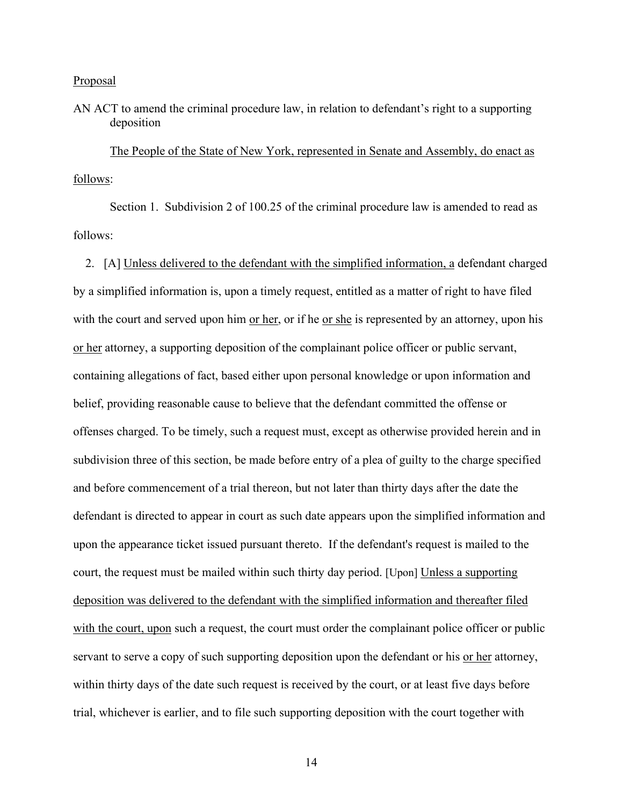# AN ACT to amend the criminal procedure law, in relation to defendant's right to a supporting deposition

The People of the State of New York, represented in Senate and Assembly, do enact as follows:

Section 1. Subdivision 2 of 100.25 of the criminal procedure law is amended to read as follows:

 2. [A] Unless delivered to the defendant with the simplified information, a defendant charged by a simplified information is, upon a timely request, entitled as a matter of right to have filed with the court and served upon him or her, or if he or she is represented by an attorney, upon his or her attorney, a supporting deposition of the complainant police officer or public servant, containing allegations of fact, based either upon personal knowledge or upon information and belief, providing reasonable cause to believe that the defendant committed the offense or offenses charged. To be timely, such a request must, except as otherwise provided herein and in subdivision three of this section, be made before entry of a plea of guilty to the charge specified and before commencement of a trial thereon, but not later than thirty days after the date the defendant is directed to appear in court as such date appears upon the simplified information and upon the appearance ticket issued pursuant thereto. If the defendant's request is mailed to the court, the request must be mailed within such thirty day period. [Upon] Unless a supporting deposition was delivered to the defendant with the simplified information and thereafter filed with the court, upon such a request, the court must order the complainant police officer or public servant to serve a copy of such supporting deposition upon the defendant or his or her attorney, within thirty days of the date such request is received by the court, or at least five days before trial, whichever is earlier, and to file such supporting deposition with the court together with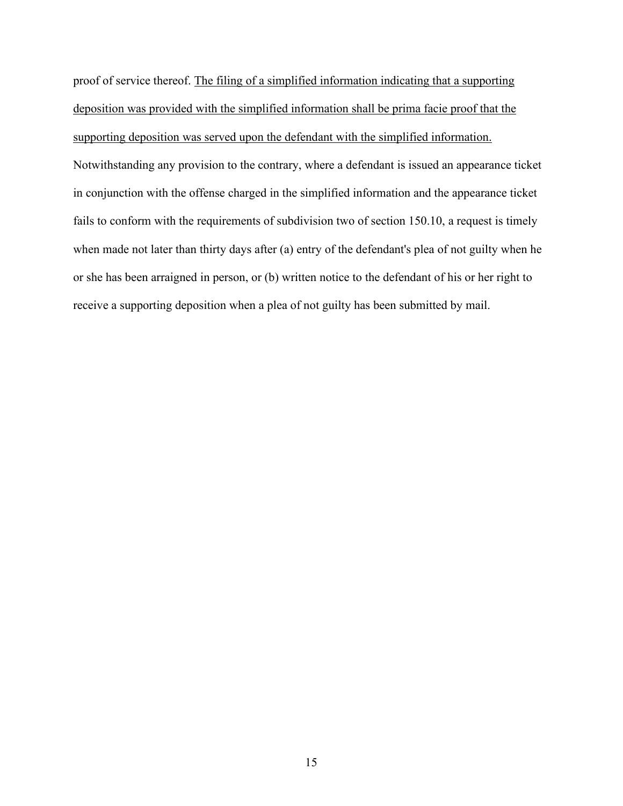proof of service thereof. The filing of a simplified information indicating that a supporting deposition was provided with the simplified information shall be prima facie proof that the supporting deposition was served upon the defendant with the simplified information.

Notwithstanding any provision to the contrary, where a defendant is issued an appearance ticket in conjunction with the offense charged in the simplified information and the appearance ticket fails to conform with the requirements of subdivision two of section 150.10, a request is timely when made not later than thirty days after (a) entry of the defendant's plea of not guilty when he or she has been arraigned in person, or (b) written notice to the defendant of his or her right to receive a supporting deposition when a plea of not guilty has been submitted by mail.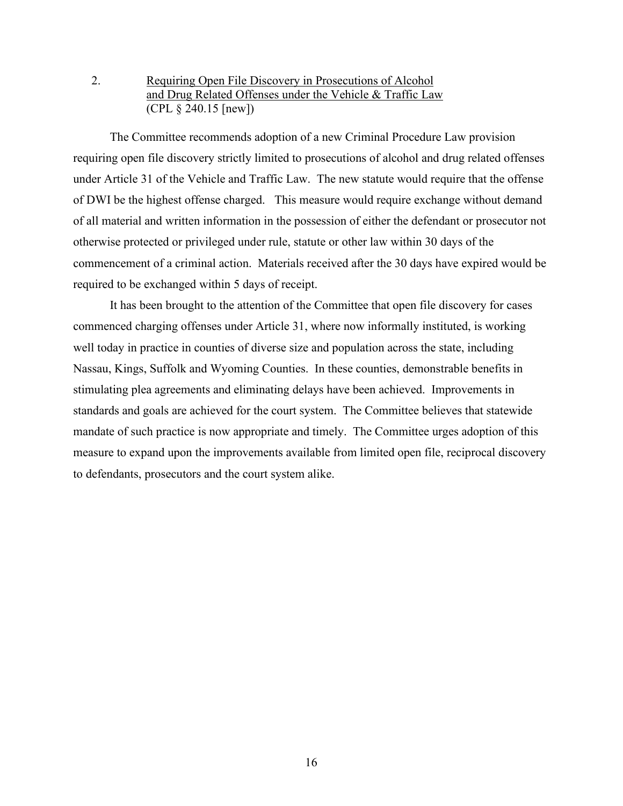2. Requiring Open File Discovery in Prosecutions of Alcohol and Drug Related Offenses under the Vehicle & Traffic Law (CPL § 240.15 [new])

The Committee recommends adoption of a new Criminal Procedure Law provision requiring open file discovery strictly limited to prosecutions of alcohol and drug related offenses under Article 31 of the Vehicle and Traffic Law. The new statute would require that the offense of DWI be the highest offense charged. This measure would require exchange without demand of all material and written information in the possession of either the defendant or prosecutor not otherwise protected or privileged under rule, statute or other law within 30 days of the commencement of a criminal action. Materials received after the 30 days have expired would be required to be exchanged within 5 days of receipt.

It has been brought to the attention of the Committee that open file discovery for cases commenced charging offenses under Article 31, where now informally instituted, is working well today in practice in counties of diverse size and population across the state, including Nassau, Kings, Suffolk and Wyoming Counties. In these counties, demonstrable benefits in stimulating plea agreements and eliminating delays have been achieved. Improvements in standards and goals are achieved for the court system. The Committee believes that statewide mandate of such practice is now appropriate and timely. The Committee urges adoption of this measure to expand upon the improvements available from limited open file, reciprocal discovery to defendants, prosecutors and the court system alike.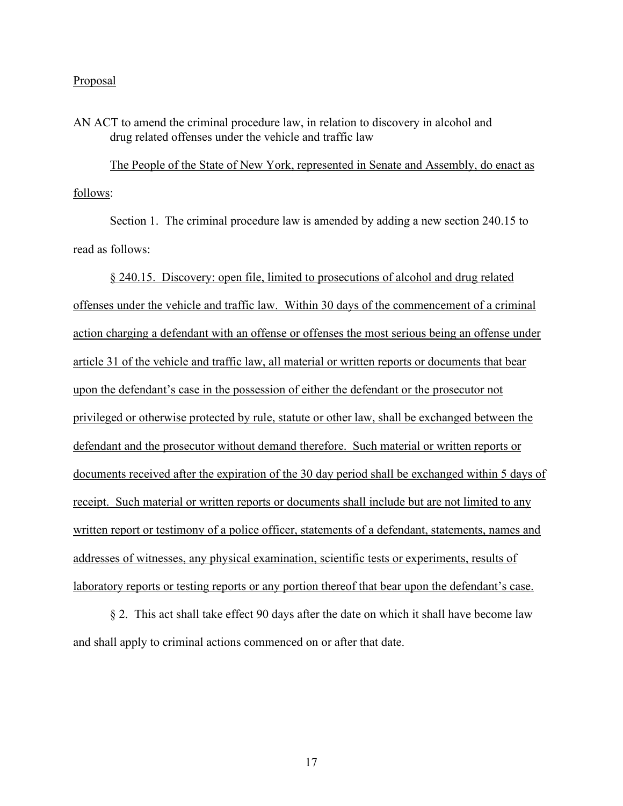AN ACT to amend the criminal procedure law, in relation to discovery in alcohol and drug related offenses under the vehicle and traffic law

The People of the State of New York, represented in Senate and Assembly, do enact as follows:

Section 1. The criminal procedure law is amended by adding a new section 240.15 to read as follows:

 § 240.15. Discovery: open file, limited to prosecutions of alcohol and drug related offenses under the vehicle and traffic law. Within 30 days of the commencement of a criminal action charging a defendant with an offense or offenses the most serious being an offense under article 31 of the vehicle and traffic law, all material or written reports or documents that bear upon the defendant's case in the possession of either the defendant or the prosecutor not privileged or otherwise protected by rule, statute or other law, shall be exchanged between the defendant and the prosecutor without demand therefore. Such material or written reports or documents received after the expiration of the 30 day period shall be exchanged within 5 days of receipt. Such material or written reports or documents shall include but are not limited to any written report or testimony of a police officer, statements of a defendant, statements, names and addresses of witnesses, any physical examination, scientific tests or experiments, results of laboratory reports or testing reports or any portion thereof that bear upon the defendant's case.

§ 2. This act shall take effect 90 days after the date on which it shall have become law and shall apply to criminal actions commenced on or after that date.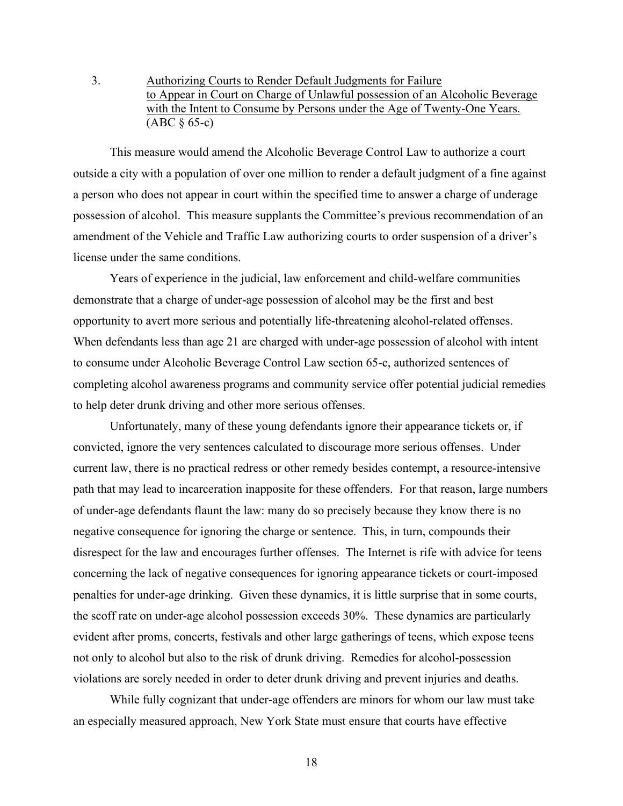3. Authorizing Courts to Render Default Judgments for Failure to Appear in Court on Charge of Unlawful possession of an Alcoholic Beverage with the Intent to Consume by Persons under the Age of Twenty-One Years. (ABC § 65-c)

This measure would amend the Alcoholic Beverage Control Law to authorize a court outside a city with a population of over one million to render a default judgment of a fine against a person who does not appear in court within the specified time to answer a charge of underage possession of alcohol. This measure supplants the Committee's previous recommendation of an amendment of the Vehicle and Traffic Law authorizing courts to order suspension of a driver's license under the same conditions.

Years of experience in the judicial, law enforcement and child-welfare communities demonstrate that a charge of under-age possession of alcohol may be the first and best opportunity to avert more serious and potentially life-threatening alcohol-related offenses. When defendants less than age 21 are charged with under-age possession of alcohol with intent to consume under Alcoholic Beverage Control Law section 65-c, authorized sentences of completing alcohol awareness programs and community service offer potential judicial remedies to help deter drunk driving and other more serious offenses.

Unfortunately, many of these young defendants ignore their appearance tickets or, if convicted, ignore the very sentences calculated to discourage more serious offenses. Under current law, there is no practical redress or other remedy besides contempt, a resource-intensive path that may lead to incarceration inapposite for these offenders. For that reason, large numbers of under-age defendants flaunt the law: many do so precisely because they know there is no negative consequence for ignoring the charge or sentence. This, in turn, compounds their disrespect for the law and encourages further offenses. The Internet is rife with advice for teens concerning the lack of negative consequences for ignoring appearance tickets or court-imposed penalties for under-age drinking. Given these dynamics, it is little surprise that in some courts, the scoff rate on under-age alcohol possession exceeds 30%. These dynamics are particularly evident after proms, concerts, festivals and other large gatherings of teens, which expose teens not only to alcohol but also to the risk of drunk driving. Remedies for alcohol-possession violations are sorely needed in order to deter drunk driving and prevent injuries and deaths.

While fully cognizant that under-age offenders are minors for whom our law must take an especially measured approach, New York State must ensure that courts have effective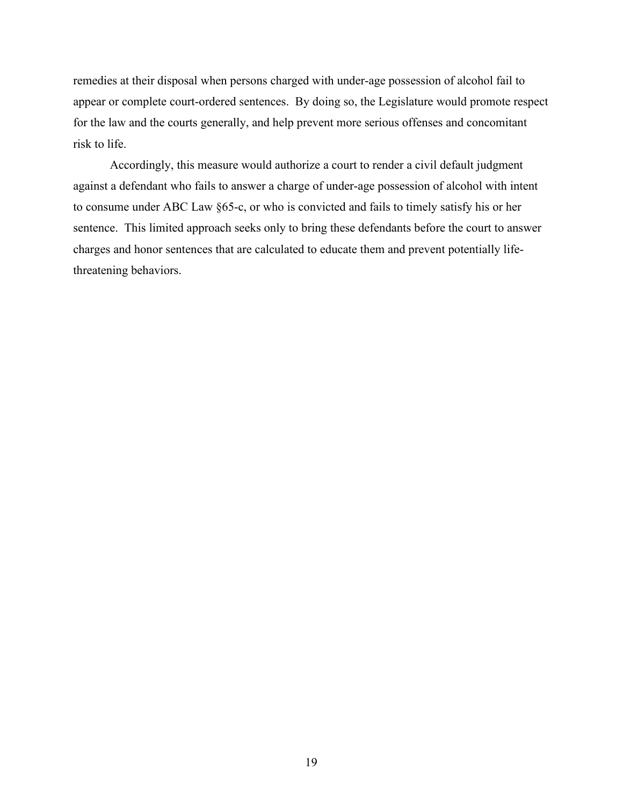remedies at their disposal when persons charged with under-age possession of alcohol fail to appear or complete court-ordered sentences. By doing so, the Legislature would promote respect for the law and the courts generally, and help prevent more serious offenses and concomitant risk to life.

Accordingly, this measure would authorize a court to render a civil default judgment against a defendant who fails to answer a charge of under-age possession of alcohol with intent to consume under ABC Law §65-c, or who is convicted and fails to timely satisfy his or her sentence. This limited approach seeks only to bring these defendants before the court to answer charges and honor sentences that are calculated to educate them and prevent potentially lifethreatening behaviors.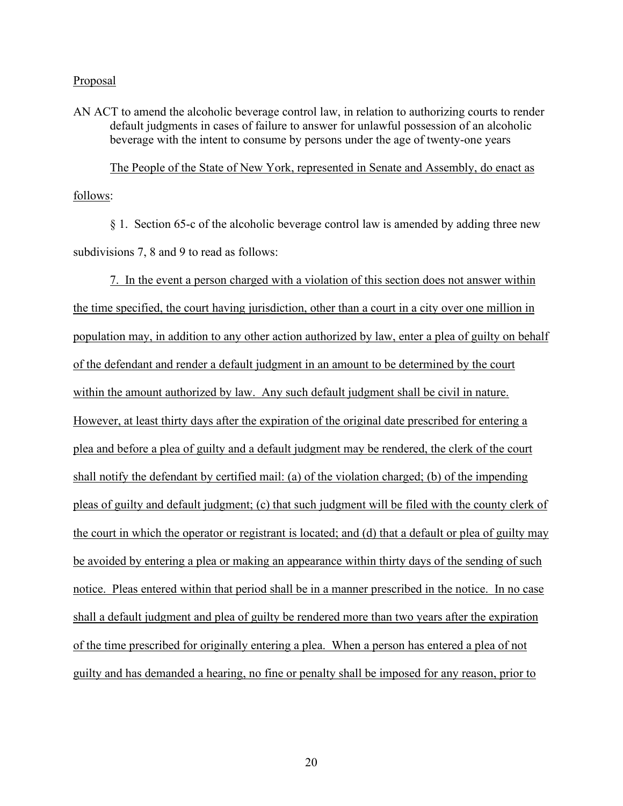AN ACT to amend the alcoholic beverage control law, in relation to authorizing courts to render default judgments in cases of failure to answer for unlawful possession of an alcoholic beverage with the intent to consume by persons under the age of twenty-one years

The People of the State of New York, represented in Senate and Assembly, do enact as follows:

§ 1. Section 65-c of the alcoholic beverage control law is amended by adding three new subdivisions 7, 8 and 9 to read as follows:

7. In the event a person charged with a violation of this section does not answer within the time specified, the court having jurisdiction, other than a court in a city over one million in population may, in addition to any other action authorized by law, enter a plea of guilty on behalf of the defendant and render a default judgment in an amount to be determined by the court within the amount authorized by law. Any such default judgment shall be civil in nature. However, at least thirty days after the expiration of the original date prescribed for entering a plea and before a plea of guilty and a default judgment may be rendered, the clerk of the court shall notify the defendant by certified mail: (a) of the violation charged; (b) of the impending pleas of guilty and default judgment; (c) that such judgment will be filed with the county clerk of the court in which the operator or registrant is located; and (d) that a default or plea of guilty may be avoided by entering a plea or making an appearance within thirty days of the sending of such notice. Pleas entered within that period shall be in a manner prescribed in the notice. In no case shall a default judgment and plea of guilty be rendered more than two years after the expiration of the time prescribed for originally entering a plea. When a person has entered a plea of not guilty and has demanded a hearing, no fine or penalty shall be imposed for any reason, prior to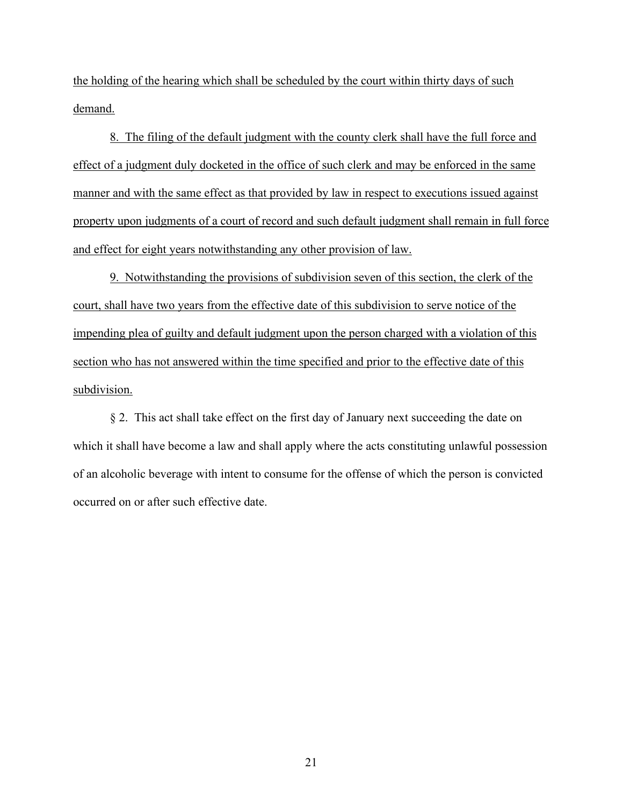the holding of the hearing which shall be scheduled by the court within thirty days of such demand.

8. The filing of the default judgment with the county clerk shall have the full force and effect of a judgment duly docketed in the office of such clerk and may be enforced in the same manner and with the same effect as that provided by law in respect to executions issued against property upon judgments of a court of record and such default judgment shall remain in full force and effect for eight years notwithstanding any other provision of law.

9. Notwithstanding the provisions of subdivision seven of this section, the clerk of the court, shall have two years from the effective date of this subdivision to serve notice of the impending plea of guilty and default judgment upon the person charged with a violation of this section who has not answered within the time specified and prior to the effective date of this subdivision.

§ 2. This act shall take effect on the first day of January next succeeding the date on which it shall have become a law and shall apply where the acts constituting unlawful possession of an alcoholic beverage with intent to consume for the offense of which the person is convicted occurred on or after such effective date.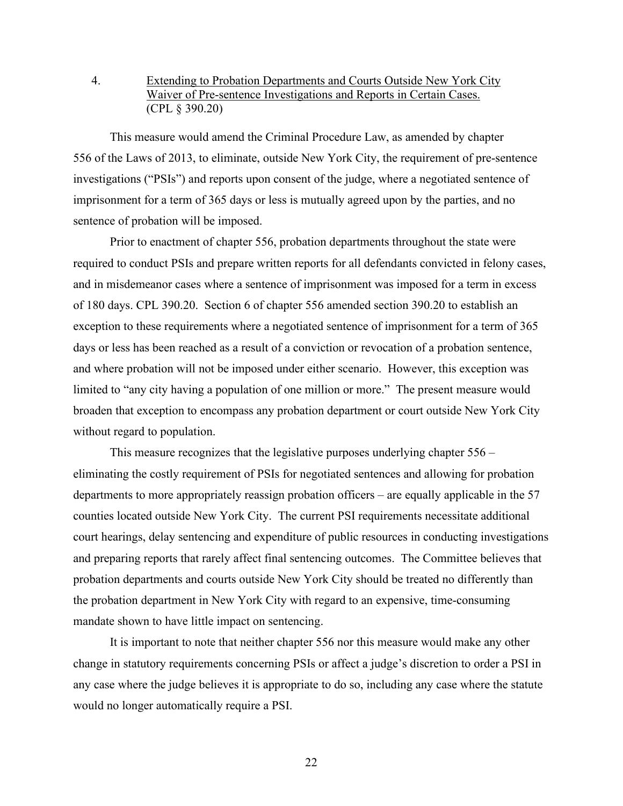4. Extending to Probation Departments and Courts Outside New York City Waiver of Pre-sentence Investigations and Reports in Certain Cases. (CPL § 390.20)

This measure would amend the Criminal Procedure Law, as amended by chapter 556 of the Laws of 2013, to eliminate, outside New York City, the requirement of pre-sentence investigations ("PSIs") and reports upon consent of the judge, where a negotiated sentence of imprisonment for a term of 365 days or less is mutually agreed upon by the parties, and no sentence of probation will be imposed.

Prior to enactment of chapter 556, probation departments throughout the state were required to conduct PSIs and prepare written reports for all defendants convicted in felony cases, and in misdemeanor cases where a sentence of imprisonment was imposed for a term in excess of 180 days. CPL 390.20. Section 6 of chapter 556 amended section 390.20 to establish an exception to these requirements where a negotiated sentence of imprisonment for a term of 365 days or less has been reached as a result of a conviction or revocation of a probation sentence, and where probation will not be imposed under either scenario. However, this exception was limited to "any city having a population of one million or more." The present measure would broaden that exception to encompass any probation department or court outside New York City without regard to population.

This measure recognizes that the legislative purposes underlying chapter 556 – eliminating the costly requirement of PSIs for negotiated sentences and allowing for probation departments to more appropriately reassign probation officers – are equally applicable in the 57 counties located outside New York City. The current PSI requirements necessitate additional court hearings, delay sentencing and expenditure of public resources in conducting investigations and preparing reports that rarely affect final sentencing outcomes. The Committee believes that probation departments and courts outside New York City should be treated no differently than the probation department in New York City with regard to an expensive, time-consuming mandate shown to have little impact on sentencing.

It is important to note that neither chapter 556 nor this measure would make any other change in statutory requirements concerning PSIs or affect a judge's discretion to order a PSI in any case where the judge believes it is appropriate to do so, including any case where the statute would no longer automatically require a PSI.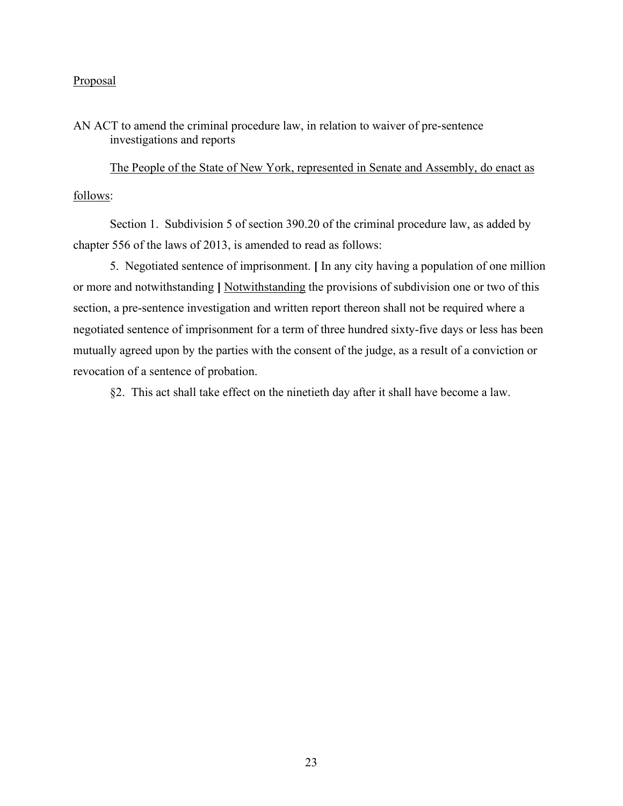AN ACT to amend the criminal procedure law, in relation to waiver of pre-sentence investigations and reports

The People of the State of New York, represented in Senate and Assembly, do enact as follows:

Section 1. Subdivision 5 of section 390.20 of the criminal procedure law, as added by chapter 556 of the laws of 2013, is amended to read as follows:

5. Negotiated sentence of imprisonment. **[** In any city having a population of one million or more and notwithstanding **]** Notwithstanding the provisions of subdivision one or two of this section, a pre-sentence investigation and written report thereon shall not be required where a negotiated sentence of imprisonment for a term of three hundred sixty-five days or less has been mutually agreed upon by the parties with the consent of the judge, as a result of a conviction or revocation of a sentence of probation.

§2. This act shall take effect on the ninetieth day after it shall have become a law.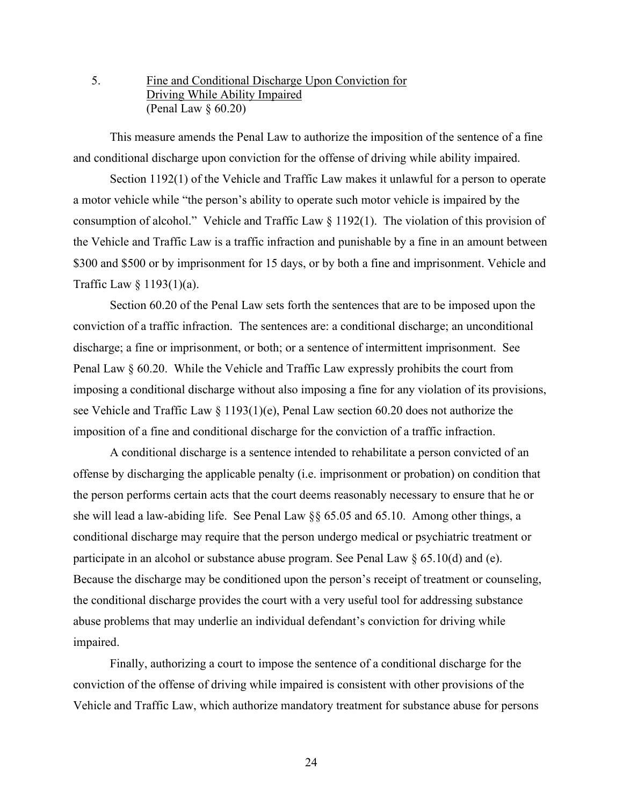5. Fine and Conditional Discharge Upon Conviction for Driving While Ability Impaired (Penal Law § 60.20)

This measure amends the Penal Law to authorize the imposition of the sentence of a fine and conditional discharge upon conviction for the offense of driving while ability impaired.

Section 1192(1) of the Vehicle and Traffic Law makes it unlawful for a person to operate a motor vehicle while "the person's ability to operate such motor vehicle is impaired by the consumption of alcohol." Vehicle and Traffic Law § 1192(1). The violation of this provision of the Vehicle and Traffic Law is a traffic infraction and punishable by a fine in an amount between \$300 and \$500 or by imprisonment for 15 days, or by both a fine and imprisonment. Vehicle and Traffic Law  $\S$  1193(1)(a).

Section 60.20 of the Penal Law sets forth the sentences that are to be imposed upon the conviction of a traffic infraction. The sentences are: a conditional discharge; an unconditional discharge; a fine or imprisonment, or both; or a sentence of intermittent imprisonment. See Penal Law § 60.20. While the Vehicle and Traffic Law expressly prohibits the court from imposing a conditional discharge without also imposing a fine for any violation of its provisions, see Vehicle and Traffic Law § 1193(1)(e), Penal Law section 60.20 does not authorize the imposition of a fine and conditional discharge for the conviction of a traffic infraction.

A conditional discharge is a sentence intended to rehabilitate a person convicted of an offense by discharging the applicable penalty (i.e. imprisonment or probation) on condition that the person performs certain acts that the court deems reasonably necessary to ensure that he or she will lead a law-abiding life. See Penal Law §§ 65.05 and 65.10. Among other things, a conditional discharge may require that the person undergo medical or psychiatric treatment or participate in an alcohol or substance abuse program. See Penal Law § 65.10(d) and (e). Because the discharge may be conditioned upon the person's receipt of treatment or counseling, the conditional discharge provides the court with a very useful tool for addressing substance abuse problems that may underlie an individual defendant's conviction for driving while impaired.

Finally, authorizing a court to impose the sentence of a conditional discharge for the conviction of the offense of driving while impaired is consistent with other provisions of the Vehicle and Traffic Law, which authorize mandatory treatment for substance abuse for persons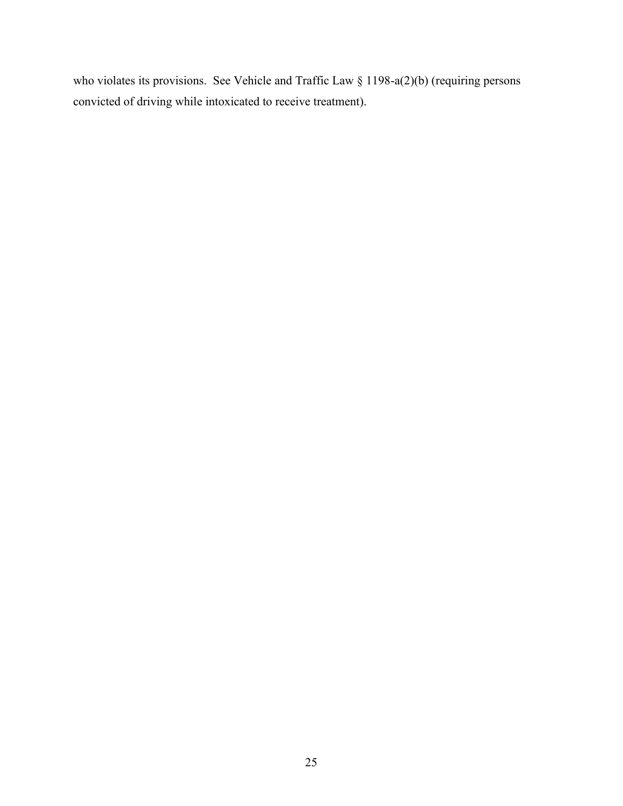who violates its provisions. See Vehicle and Traffic Law § 1198-a(2)(b) (requiring persons convicted of driving while intoxicated to receive treatment).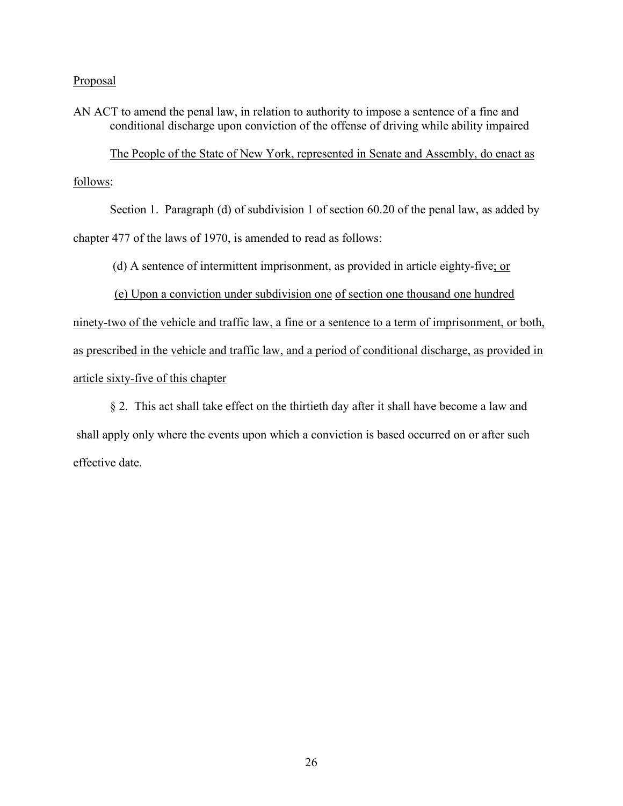AN ACT to amend the penal law, in relation to authority to impose a sentence of a fine and conditional discharge upon conviction of the offense of driving while ability impaired

The People of the State of New York, represented in Senate and Assembly, do enact as follows:

Section 1. Paragraph (d) of subdivision 1 of section 60.20 of the penal law, as added by chapter 477 of the laws of 1970, is amended to read as follows:

(d) A sentence of intermittent imprisonment, as provided in article eighty-five; or

(e) Upon a conviction under subdivision one of section one thousand one hundred

ninety-two of the vehicle and traffic law, a fine or a sentence to a term of imprisonment, or both, as prescribed in the vehicle and traffic law, and a period of conditional discharge, as provided in article sixty-five of this chapter

§ 2. This act shall take effect on the thirtieth day after it shall have become a law and shall apply only where the events upon which a conviction is based occurred on or after such effective date.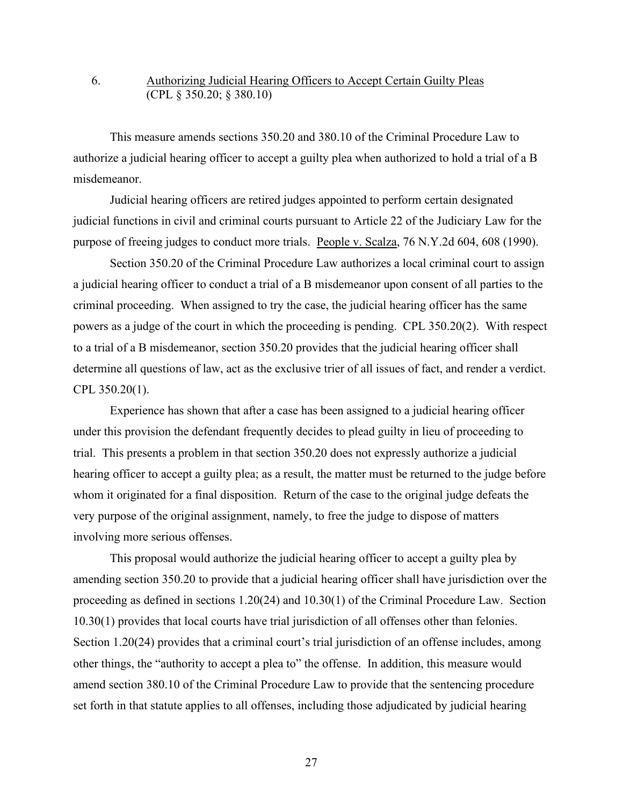## 6. Authorizing Judicial Hearing Officers to Accept Certain Guilty Pleas (CPL § 350.20; § 380.10)

This measure amends sections 350.20 and 380.10 of the Criminal Procedure Law to authorize a judicial hearing officer to accept a guilty plea when authorized to hold a trial of a B misdemeanor.

Judicial hearing officers are retired judges appointed to perform certain designated judicial functions in civil and criminal courts pursuant to Article 22 of the Judiciary Law for the purpose of freeing judges to conduct more trials. People v. Scalza, 76 N.Y.2d 604, 608 (1990).

Section 350.20 of the Criminal Procedure Law authorizes a local criminal court to assign a judicial hearing officer to conduct a trial of a B misdemeanor upon consent of all parties to the criminal proceeding. When assigned to try the case, the judicial hearing officer has the same powers as a judge of the court in which the proceeding is pending. CPL 350.20(2). With respect to a trial of a B misdemeanor, section 350.20 provides that the judicial hearing officer shall determine all questions of law, act as the exclusive trier of all issues of fact, and render a verdict. CPL 350.20(1).

Experience has shown that after a case has been assigned to a judicial hearing officer under this provision the defendant frequently decides to plead guilty in lieu of proceeding to trial. This presents a problem in that section 350.20 does not expressly authorize a judicial hearing officer to accept a guilty plea; as a result, the matter must be returned to the judge before whom it originated for a final disposition. Return of the case to the original judge defeats the very purpose of the original assignment, namely, to free the judge to dispose of matters involving more serious offenses.

This proposal would authorize the judicial hearing officer to accept a guilty plea by amending section 350.20 to provide that a judicial hearing officer shall have jurisdiction over the proceeding as defined in sections 1.20(24) and 10.30(1) of the Criminal Procedure Law. Section 10.30(1) provides that local courts have trial jurisdiction of all offenses other than felonies. Section 1.20(24) provides that a criminal court's trial jurisdiction of an offense includes, among other things, the "authority to accept a plea to" the offense. In addition, this measure would amend section 380.10 of the Criminal Procedure Law to provide that the sentencing procedure set forth in that statute applies to all offenses, including those adjudicated by judicial hearing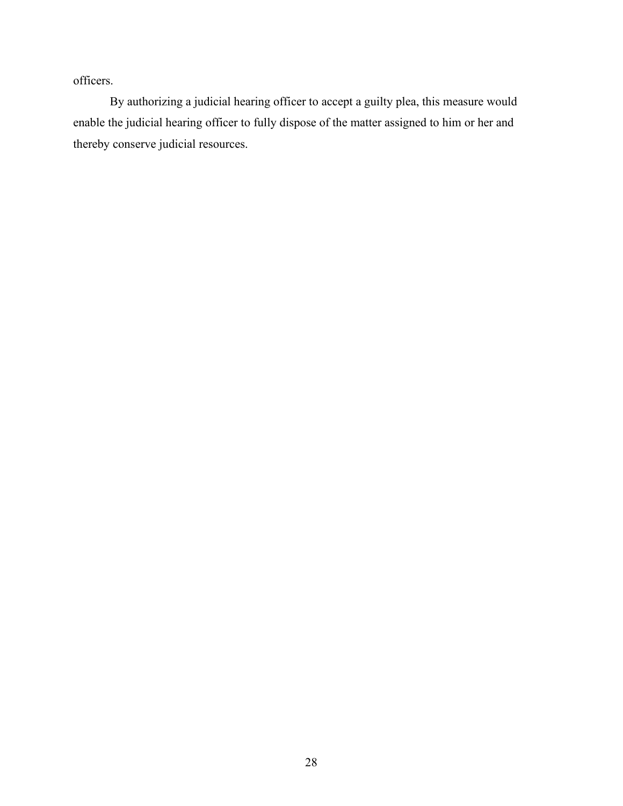officers.

By authorizing a judicial hearing officer to accept a guilty plea, this measure would enable the judicial hearing officer to fully dispose of the matter assigned to him or her and thereby conserve judicial resources.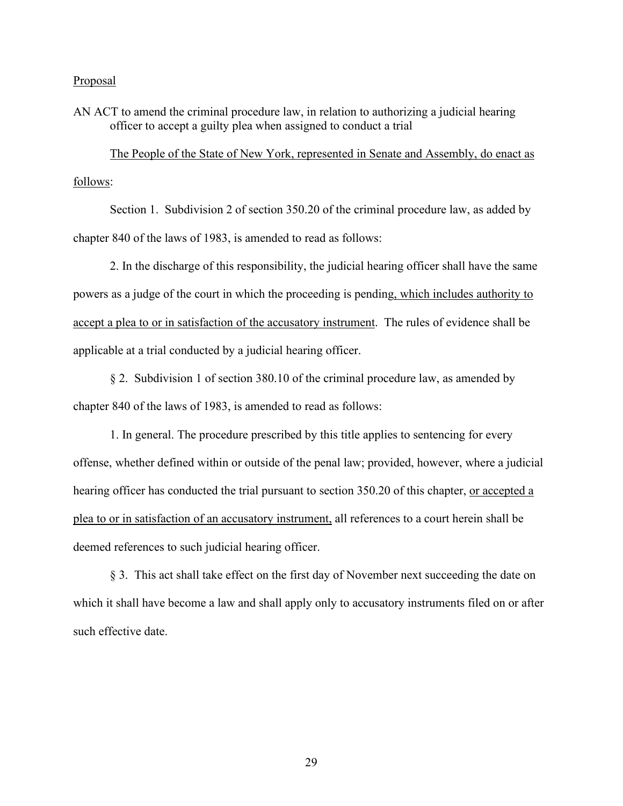AN ACT to amend the criminal procedure law, in relation to authorizing a judicial hearing officer to accept a guilty plea when assigned to conduct a trial

The People of the State of New York, represented in Senate and Assembly, do enact as follows:

Section 1. Subdivision 2 of section 350.20 of the criminal procedure law, as added by chapter 840 of the laws of 1983, is amended to read as follows:

2. In the discharge of this responsibility, the judicial hearing officer shall have the same powers as a judge of the court in which the proceeding is pending, which includes authority to accept a plea to or in satisfaction of the accusatory instrument. The rules of evidence shall be applicable at a trial conducted by a judicial hearing officer.

§ 2. Subdivision 1 of section 380.10 of the criminal procedure law, as amended by chapter 840 of the laws of 1983, is amended to read as follows:

1. In general. The procedure prescribed by this title applies to sentencing for every offense, whether defined within or outside of the penal law; provided, however, where a judicial hearing officer has conducted the trial pursuant to section 350.20 of this chapter, or accepted a plea to or in satisfaction of an accusatory instrument, all references to a court herein shall be deemed references to such judicial hearing officer.

§ 3. This act shall take effect on the first day of November next succeeding the date on which it shall have become a law and shall apply only to accusatory instruments filed on or after such effective date.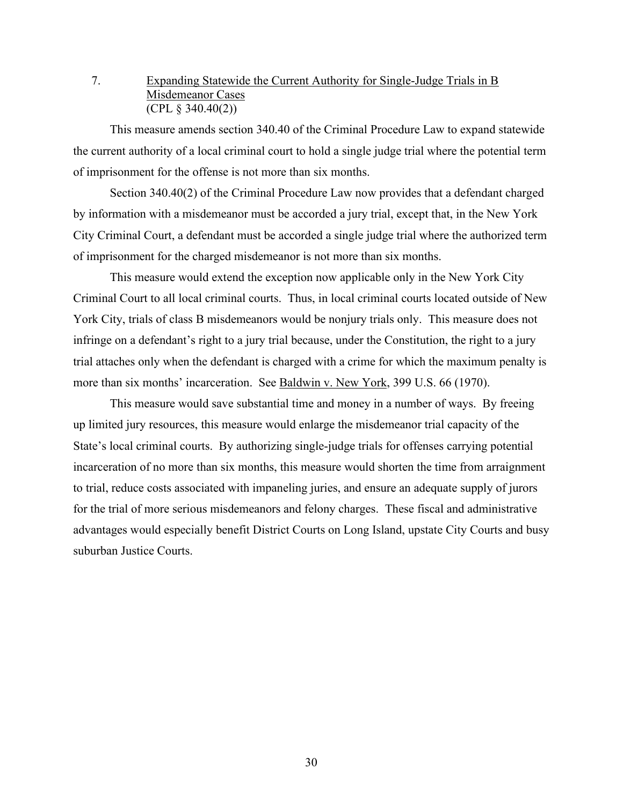# 7. Expanding Statewide the Current Authority for Single-Judge Trials in B Misdemeanor Cases (CPL § 340.40(2))

This measure amends section 340.40 of the Criminal Procedure Law to expand statewide the current authority of a local criminal court to hold a single judge trial where the potential term of imprisonment for the offense is not more than six months.

Section 340.40(2) of the Criminal Procedure Law now provides that a defendant charged by information with a misdemeanor must be accorded a jury trial, except that, in the New York City Criminal Court, a defendant must be accorded a single judge trial where the authorized term of imprisonment for the charged misdemeanor is not more than six months.

This measure would extend the exception now applicable only in the New York City Criminal Court to all local criminal courts. Thus, in local criminal courts located outside of New York City, trials of class B misdemeanors would be nonjury trials only. This measure does not infringe on a defendant's right to a jury trial because, under the Constitution, the right to a jury trial attaches only when the defendant is charged with a crime for which the maximum penalty is more than six months' incarceration. See Baldwin v. New York, 399 U.S. 66 (1970).

This measure would save substantial time and money in a number of ways. By freeing up limited jury resources, this measure would enlarge the misdemeanor trial capacity of the State's local criminal courts. By authorizing single-judge trials for offenses carrying potential incarceration of no more than six months, this measure would shorten the time from arraignment to trial, reduce costs associated with impaneling juries, and ensure an adequate supply of jurors for the trial of more serious misdemeanors and felony charges. These fiscal and administrative advantages would especially benefit District Courts on Long Island, upstate City Courts and busy suburban Justice Courts.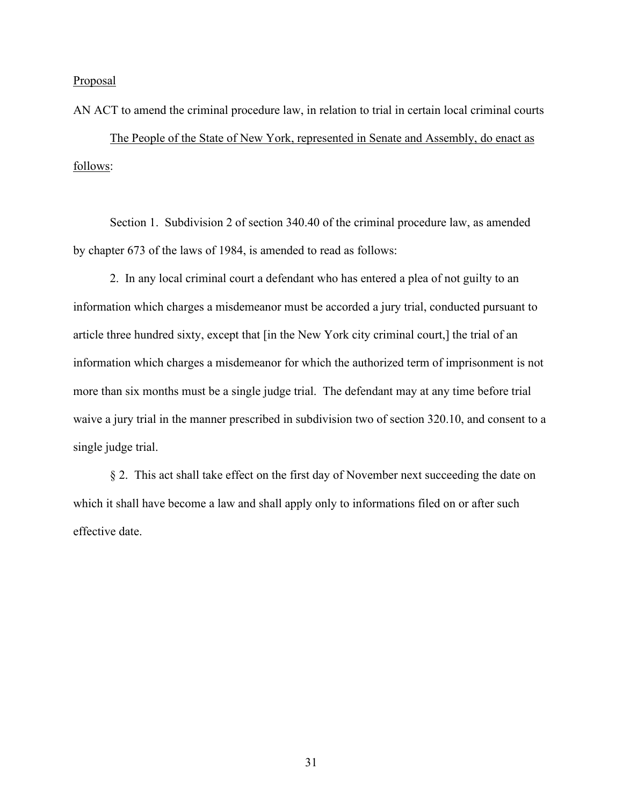AN ACT to amend the criminal procedure law, in relation to trial in certain local criminal courts

The People of the State of New York, represented in Senate and Assembly, do enact as follows:

Section 1. Subdivision 2 of section 340.40 of the criminal procedure law, as amended by chapter 673 of the laws of 1984, is amended to read as follows:

2. In any local criminal court a defendant who has entered a plea of not guilty to an information which charges a misdemeanor must be accorded a jury trial, conducted pursuant to article three hundred sixty, except that [in the New York city criminal court,] the trial of an information which charges a misdemeanor for which the authorized term of imprisonment is not more than six months must be a single judge trial. The defendant may at any time before trial waive a jury trial in the manner prescribed in subdivision two of section 320.10, and consent to a single judge trial.

§ 2. This act shall take effect on the first day of November next succeeding the date on which it shall have become a law and shall apply only to informations filed on or after such effective date.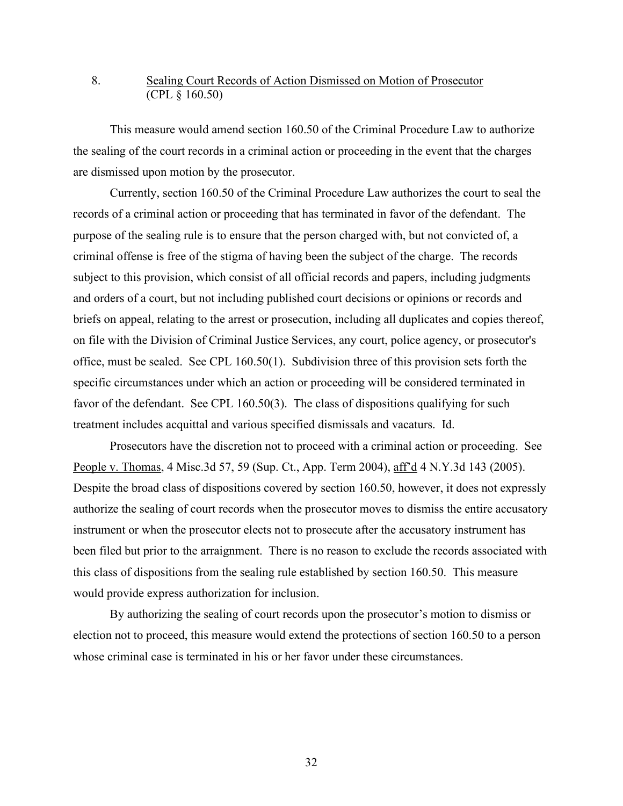# 8. Sealing Court Records of Action Dismissed on Motion of Prosecutor (CPL § 160.50)

This measure would amend section 160.50 of the Criminal Procedure Law to authorize the sealing of the court records in a criminal action or proceeding in the event that the charges are dismissed upon motion by the prosecutor.

Currently, section 160.50 of the Criminal Procedure Law authorizes the court to seal the records of a criminal action or proceeding that has terminated in favor of the defendant. The purpose of the sealing rule is to ensure that the person charged with, but not convicted of, a criminal offense is free of the stigma of having been the subject of the charge. The records subject to this provision, which consist of all official records and papers, including judgments and orders of a court, but not including published court decisions or opinions or records and briefs on appeal, relating to the arrest or prosecution, including all duplicates and copies thereof, on file with the Division of Criminal Justice Services, any court, police agency, or prosecutor's office, must be sealed. See CPL 160.50(1). Subdivision three of this provision sets forth the specific circumstances under which an action or proceeding will be considered terminated in favor of the defendant. See CPL 160.50(3). The class of dispositions qualifying for such treatment includes acquittal and various specified dismissals and vacaturs. Id.

Prosecutors have the discretion not to proceed with a criminal action or proceeding. See People v. Thomas, 4 Misc.3d 57, 59 (Sup. Ct., App. Term 2004), aff'd 4 N.Y.3d 143 (2005). Despite the broad class of dispositions covered by section 160.50, however, it does not expressly authorize the sealing of court records when the prosecutor moves to dismiss the entire accusatory instrument or when the prosecutor elects not to prosecute after the accusatory instrument has been filed but prior to the arraignment. There is no reason to exclude the records associated with this class of dispositions from the sealing rule established by section 160.50. This measure would provide express authorization for inclusion.

By authorizing the sealing of court records upon the prosecutor's motion to dismiss or election not to proceed, this measure would extend the protections of section 160.50 to a person whose criminal case is terminated in his or her favor under these circumstances.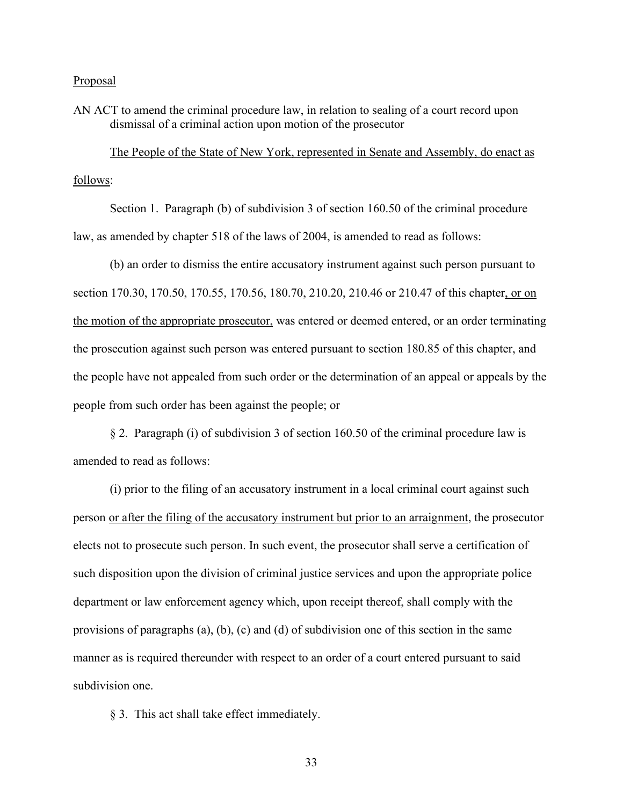AN ACT to amend the criminal procedure law, in relation to sealing of a court record upon dismissal of a criminal action upon motion of the prosecutor

The People of the State of New York, represented in Senate and Assembly, do enact as follows:

Section 1. Paragraph (b) of subdivision 3 of section 160.50 of the criminal procedure law, as amended by chapter 518 of the laws of 2004, is amended to read as follows:

(b) an order to dismiss the entire accusatory instrument against such person pursuant to section 170.30, 170.50, 170.55, 170.56, 180.70, 210.20, 210.46 or 210.47 of this chapter, or on the motion of the appropriate prosecutor, was entered or deemed entered, or an order terminating the prosecution against such person was entered pursuant to section 180.85 of this chapter, and the people have not appealed from such order or the determination of an appeal or appeals by the people from such order has been against the people; or

§ 2. Paragraph (i) of subdivision 3 of section 160.50 of the criminal procedure law is amended to read as follows:

(i) prior to the filing of an accusatory instrument in a local criminal court against such person or after the filing of the accusatory instrument but prior to an arraignment, the prosecutor elects not to prosecute such person. In such event, the prosecutor shall serve a certification of such disposition upon the division of criminal justice services and upon the appropriate police department or law enforcement agency which, upon receipt thereof, shall comply with the provisions of paragraphs (a), (b), (c) and (d) of subdivision one of this section in the same manner as is required thereunder with respect to an order of a court entered pursuant to said subdivision one.

§ 3. This act shall take effect immediately.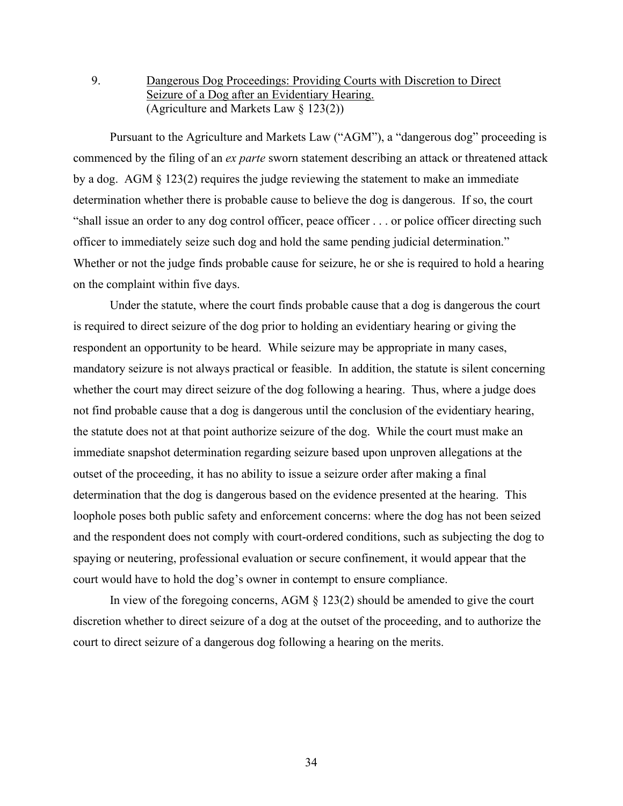9. Dangerous Dog Proceedings: Providing Courts with Discretion to Direct Seizure of a Dog after an Evidentiary Hearing. (Agriculture and Markets Law § 123(2))

Pursuant to the Agriculture and Markets Law ("AGM"), a "dangerous dog" proceeding is commenced by the filing of an *ex parte* sworn statement describing an attack or threatened attack by a dog. AGM § 123(2) requires the judge reviewing the statement to make an immediate determination whether there is probable cause to believe the dog is dangerous. If so, the court "shall issue an order to any dog control officer, peace officer . . . or police officer directing such officer to immediately seize such dog and hold the same pending judicial determination." Whether or not the judge finds probable cause for seizure, he or she is required to hold a hearing on the complaint within five days.

Under the statute, where the court finds probable cause that a dog is dangerous the court is required to direct seizure of the dog prior to holding an evidentiary hearing or giving the respondent an opportunity to be heard. While seizure may be appropriate in many cases, mandatory seizure is not always practical or feasible. In addition, the statute is silent concerning whether the court may direct seizure of the dog following a hearing. Thus, where a judge does not find probable cause that a dog is dangerous until the conclusion of the evidentiary hearing, the statute does not at that point authorize seizure of the dog. While the court must make an immediate snapshot determination regarding seizure based upon unproven allegations at the outset of the proceeding, it has no ability to issue a seizure order after making a final determination that the dog is dangerous based on the evidence presented at the hearing. This loophole poses both public safety and enforcement concerns: where the dog has not been seized and the respondent does not comply with court-ordered conditions, such as subjecting the dog to spaying or neutering, professional evaluation or secure confinement, it would appear that the court would have to hold the dog's owner in contempt to ensure compliance.

In view of the foregoing concerns, AGM § 123(2) should be amended to give the court discretion whether to direct seizure of a dog at the outset of the proceeding, and to authorize the court to direct seizure of a dangerous dog following a hearing on the merits.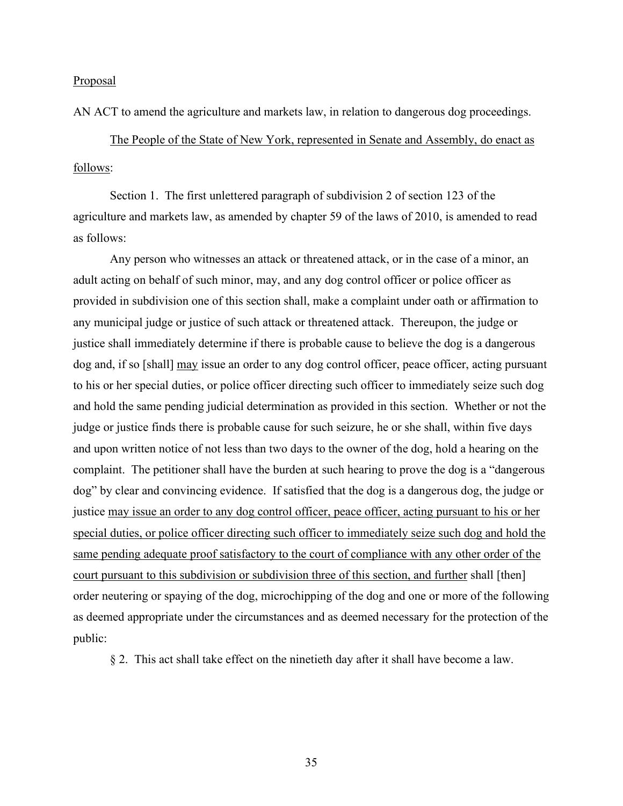AN ACT to amend the agriculture and markets law, in relation to dangerous dog proceedings.

The People of the State of New York, represented in Senate and Assembly, do enact as follows:

Section 1. The first unlettered paragraph of subdivision 2 of section 123 of the agriculture and markets law, as amended by chapter 59 of the laws of 2010, is amended to read as follows:

Any person who witnesses an attack or threatened attack, or in the case of a minor, an adult acting on behalf of such minor, may, and any dog control officer or police officer as provided in subdivision one of this section shall, make a complaint under oath or affirmation to any municipal judge or justice of such attack or threatened attack. Thereupon, the judge or justice shall immediately determine if there is probable cause to believe the dog is a dangerous dog and, if so [shall] may issue an order to any dog control officer, peace officer, acting pursuant to his or her special duties, or police officer directing such officer to immediately seize such dog and hold the same pending judicial determination as provided in this section. Whether or not the judge or justice finds there is probable cause for such seizure, he or she shall, within five days and upon written notice of not less than two days to the owner of the dog, hold a hearing on the complaint. The petitioner shall have the burden at such hearing to prove the dog is a "dangerous dog" by clear and convincing evidence. If satisfied that the dog is a dangerous dog, the judge or justice may issue an order to any dog control officer, peace officer, acting pursuant to his or her special duties, or police officer directing such officer to immediately seize such dog and hold the same pending adequate proof satisfactory to the court of compliance with any other order of the court pursuant to this subdivision or subdivision three of this section, and further shall [then] order neutering or spaying of the dog, microchipping of the dog and one or more of the following as deemed appropriate under the circumstances and as deemed necessary for the protection of the public:

§ 2. This act shall take effect on the ninetieth day after it shall have become a law.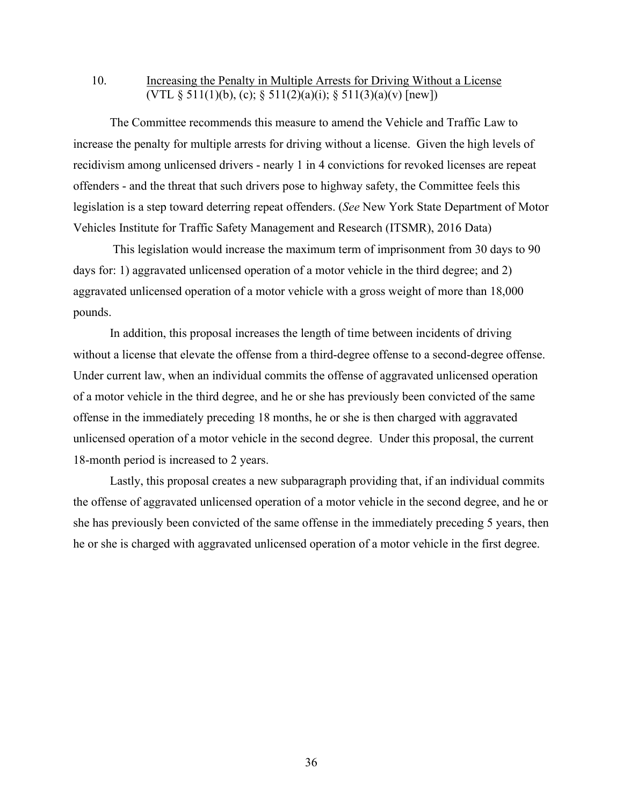## 10. Increasing the Penalty in Multiple Arrests for Driving Without a License (VTL § 511(1)(b), (c); § 511(2)(a)(i); § 511(3)(a)(v) [new])

The Committee recommends this measure to amend the Vehicle and Traffic Law to increase the penalty for multiple arrests for driving without a license. Given the high levels of recidivism among unlicensed drivers - nearly 1 in 4 convictions for revoked licenses are repeat offenders - and the threat that such drivers pose to highway safety, the Committee feels this legislation is a step toward deterring repeat offenders. (*See* New York State Department of Motor Vehicles Institute for Traffic Safety Management and Research (ITSMR), 2016 Data)

This legislation would increase the maximum term of imprisonment from 30 days to 90 days for: 1) aggravated unlicensed operation of a motor vehicle in the third degree; and 2) aggravated unlicensed operation of a motor vehicle with a gross weight of more than 18,000 pounds.

In addition, this proposal increases the length of time between incidents of driving without a license that elevate the offense from a third-degree offense to a second-degree offense. Under current law, when an individual commits the offense of aggravated unlicensed operation of a motor vehicle in the third degree, and he or she has previously been convicted of the same offense in the immediately preceding 18 months, he or she is then charged with aggravated unlicensed operation of a motor vehicle in the second degree. Under this proposal, the current 18-month period is increased to 2 years.

Lastly, this proposal creates a new subparagraph providing that, if an individual commits the offense of aggravated unlicensed operation of a motor vehicle in the second degree, and he or she has previously been convicted of the same offense in the immediately preceding 5 years, then he or she is charged with aggravated unlicensed operation of a motor vehicle in the first degree.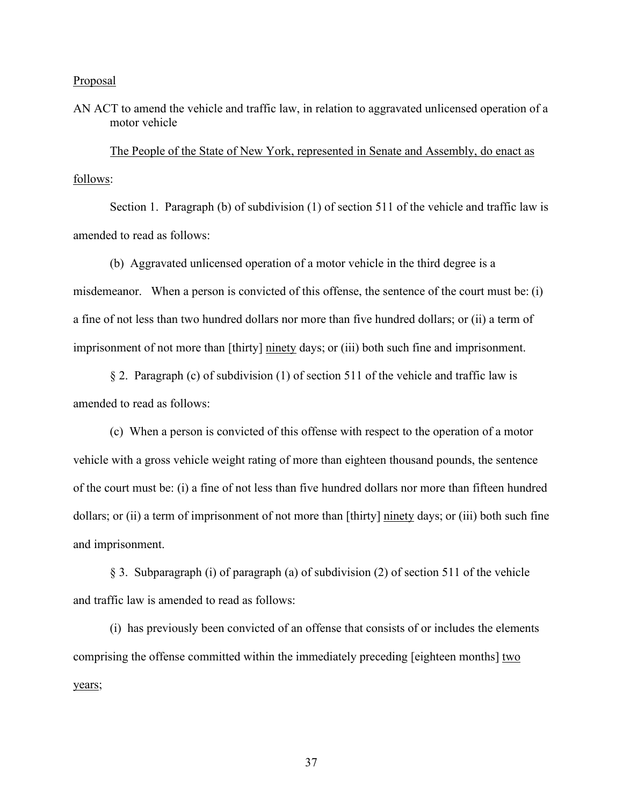AN ACT to amend the vehicle and traffic law, in relation to aggravated unlicensed operation of a motor vehicle

The People of the State of New York, represented in Senate and Assembly, do enact as follows:

Section 1. Paragraph (b) of subdivision (1) of section 511 of the vehicle and traffic law is amended to read as follows:

(b) Aggravated unlicensed operation of a motor vehicle in the third degree is a misdemeanor. When a person is convicted of this offense, the sentence of the court must be: (i) a fine of not less than two hundred dollars nor more than five hundred dollars; or (ii) a term of imprisonment of not more than [thirty] ninety days; or (iii) both such fine and imprisonment.

§ 2. Paragraph (c) of subdivision (1) of section 511 of the vehicle and traffic law is amended to read as follows:

(c) When a person is convicted of this offense with respect to the operation of a motor vehicle with a gross vehicle weight rating of more than eighteen thousand pounds, the sentence of the court must be: (i) a fine of not less than five hundred dollars nor more than fifteen hundred dollars; or (ii) a term of imprisonment of not more than [thirty] ninety days; or (iii) both such fine and imprisonment.

§ 3. Subparagraph (i) of paragraph (a) of subdivision (2) of section 511 of the vehicle and traffic law is amended to read as follows:

(i) has previously been convicted of an offense that consists of or includes the elements comprising the offense committed within the immediately preceding [eighteen months] two years;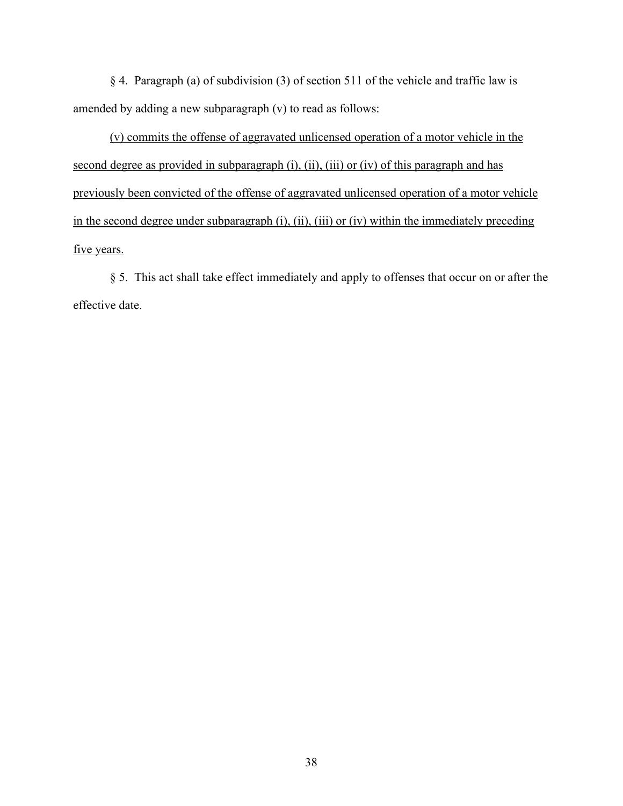§ 4. Paragraph (a) of subdivision (3) of section 511 of the vehicle and traffic law is amended by adding a new subparagraph (v) to read as follows:

(v) commits the offense of aggravated unlicensed operation of a motor vehicle in the second degree as provided in subparagraph (i), (ii), (iii) or (iv) of this paragraph and has previously been convicted of the offense of aggravated unlicensed operation of a motor vehicle in the second degree under subparagraph (i), (ii), (iii) or (iv) within the immediately preceding five years.

§ 5. This act shall take effect immediately and apply to offenses that occur on or after the effective date.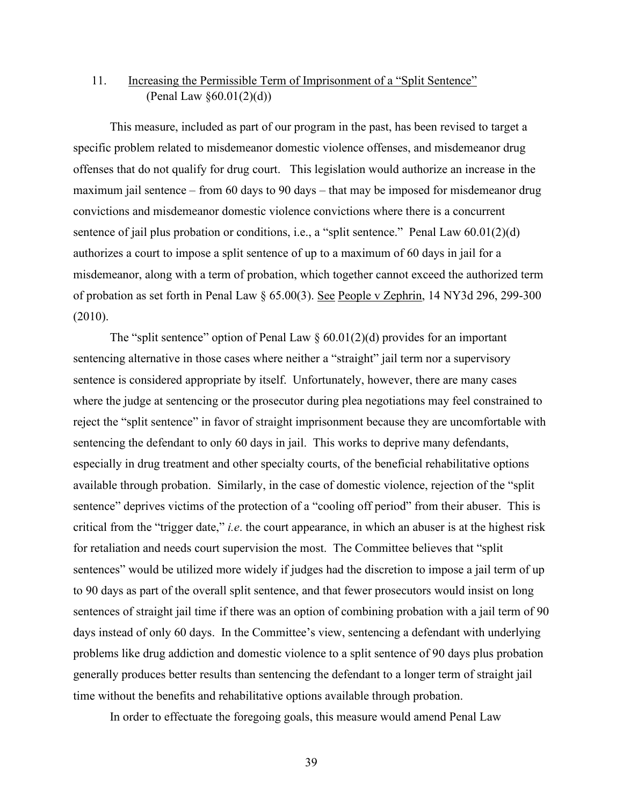# 11. Increasing the Permissible Term of Imprisonment of a "Split Sentence" (Penal Law  $\S 60.01(2)(d)$ )

This measure, included as part of our program in the past, has been revised to target a specific problem related to misdemeanor domestic violence offenses, and misdemeanor drug offenses that do not qualify for drug court. This legislation would authorize an increase in the maximum jail sentence – from 60 days to 90 days – that may be imposed for misdemeanor drug convictions and misdemeanor domestic violence convictions where there is a concurrent sentence of jail plus probation or conditions, i.e., a "split sentence." Penal Law  $60.01(2)(d)$ authorizes a court to impose a split sentence of up to a maximum of 60 days in jail for a misdemeanor, along with a term of probation, which together cannot exceed the authorized term of probation as set forth in Penal Law § 65.00(3). See People v Zephrin, 14 NY3d 296, 299-300 (2010).

The "split sentence" option of Penal Law  $\S 60.01(2)(d)$  provides for an important sentencing alternative in those cases where neither a "straight" jail term nor a supervisory sentence is considered appropriate by itself. Unfortunately, however, there are many cases where the judge at sentencing or the prosecutor during plea negotiations may feel constrained to reject the "split sentence" in favor of straight imprisonment because they are uncomfortable with sentencing the defendant to only 60 days in jail. This works to deprive many defendants, especially in drug treatment and other specialty courts, of the beneficial rehabilitative options available through probation. Similarly, in the case of domestic violence, rejection of the "split sentence" deprives victims of the protection of a "cooling off period" from their abuser. This is critical from the "trigger date," *i.e*. the court appearance, in which an abuser is at the highest risk for retaliation and needs court supervision the most. The Committee believes that "split sentences" would be utilized more widely if judges had the discretion to impose a jail term of up to 90 days as part of the overall split sentence, and that fewer prosecutors would insist on long sentences of straight jail time if there was an option of combining probation with a jail term of 90 days instead of only 60 days. In the Committee's view, sentencing a defendant with underlying problems like drug addiction and domestic violence to a split sentence of 90 days plus probation generally produces better results than sentencing the defendant to a longer term of straight jail time without the benefits and rehabilitative options available through probation.

In order to effectuate the foregoing goals, this measure would amend Penal Law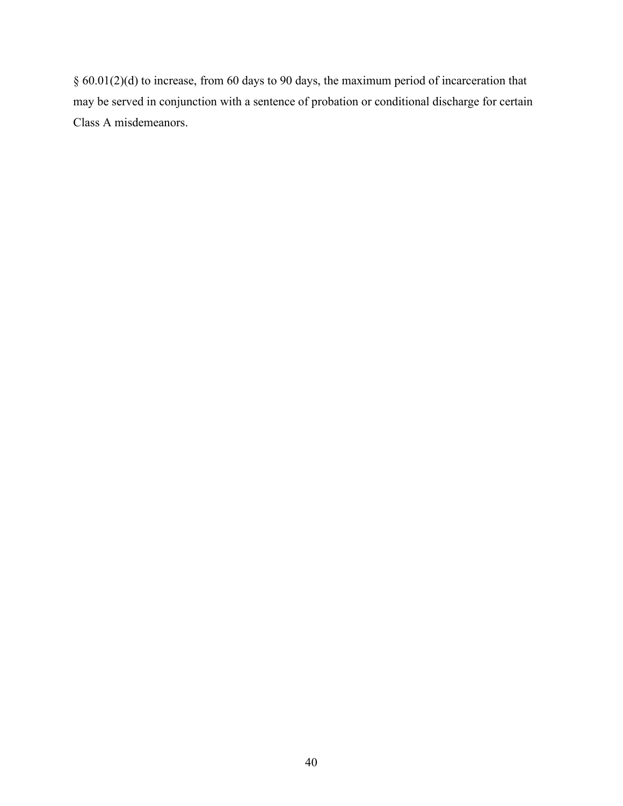§ 60.01(2)(d) to increase, from 60 days to 90 days, the maximum period of incarceration that may be served in conjunction with a sentence of probation or conditional discharge for certain Class A misdemeanors.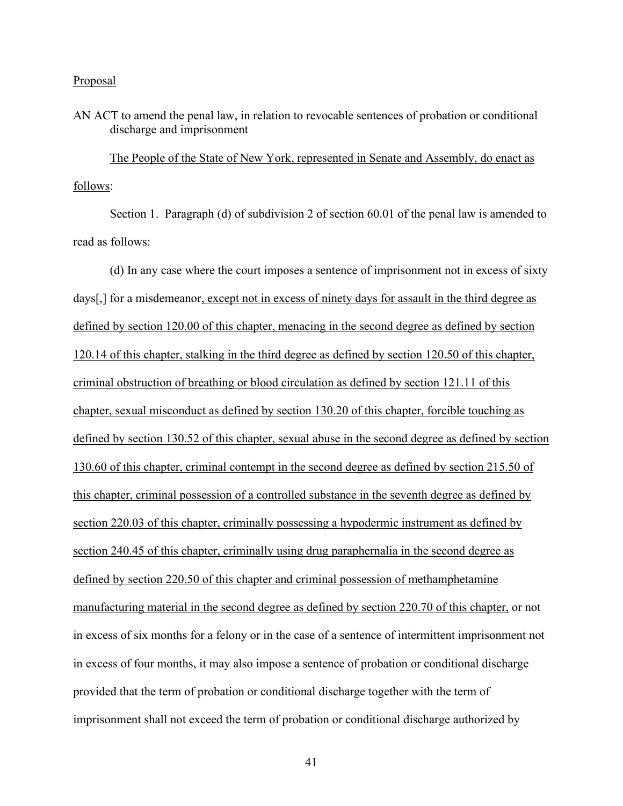AN ACT to amend the penal law, in relation to revocable sentences of probation or conditional discharge and imprisonment

The People of the State of New York, represented in Senate and Assembly, do enact as follows:

Section 1. Paragraph (d) of subdivision 2 of section 60.01 of the penal law is amended to read as follows:

(d) In any case where the court imposes a sentence of imprisonment not in excess of sixty days[,] for a misdemeanor, except not in excess of ninety days for assault in the third degree as defined by section 120.00 of this chapter, menacing in the second degree as defined by section 120.14 of this chapter, stalking in the third degree as defined by section 120.50 of this chapter, criminal obstruction of breathing or blood circulation as defined by section 121.11 of this chapter, sexual misconduct as defined by section 130.20 of this chapter, forcible touching as defined by section 130.52 of this chapter, sexual abuse in the second degree as defined by section 130.60 of this chapter, criminal contempt in the second degree as defined by section 215.50 of this chapter, criminal possession of a controlled substance in the seventh degree as defined by section 220.03 of this chapter, criminally possessing a hypodermic instrument as defined by section 240.45 of this chapter, criminally using drug paraphernalia in the second degree as defined by section 220.50 of this chapter and criminal possession of methamphetamine manufacturing material in the second degree as defined by section 220.70 of this chapter, or not in excess of six months for a felony or in the case of a sentence of intermittent imprisonment not in excess of four months, it may also impose a sentence of probation or conditional discharge provided that the term of probation or conditional discharge together with the term of imprisonment shall not exceed the term of probation or conditional discharge authorized by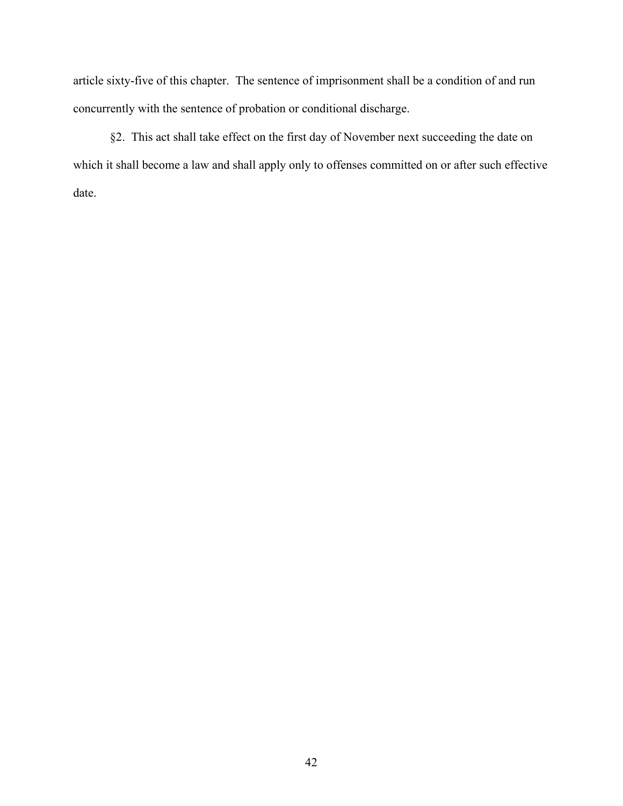article sixty-five of this chapter. The sentence of imprisonment shall be a condition of and run concurrently with the sentence of probation or conditional discharge.

§2. This act shall take effect on the first day of November next succeeding the date on which it shall become a law and shall apply only to offenses committed on or after such effective date.